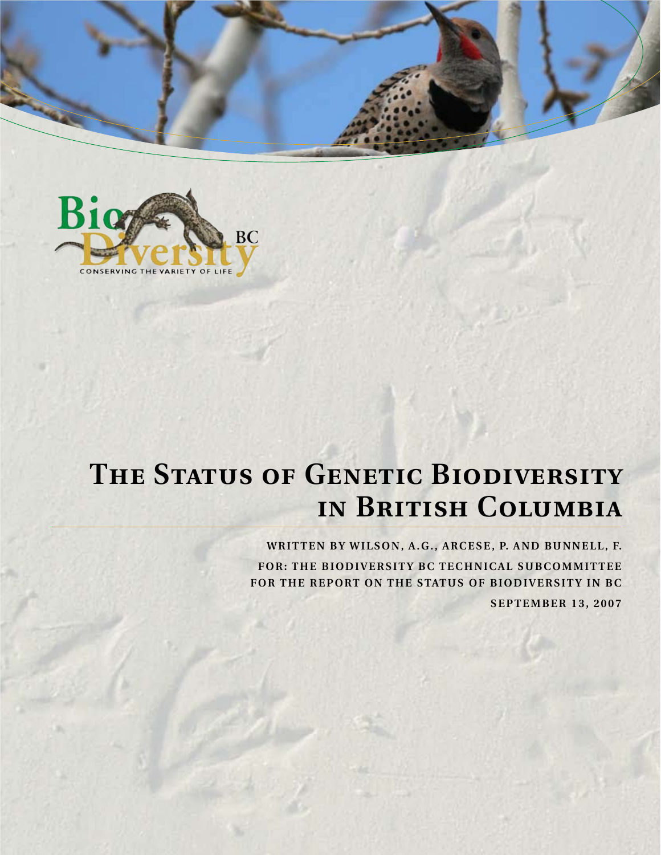



# THE STATUS OF GENETIC BIODIVERSITY **in British Columbia**

WRITTEN BY WILSON, A.G., ARCESE, P. AND BUNNELL, F. **FOR: THE BIODIVERSITY BC TECHNICAL SUBCOMMITTEE FOR THE REPORT ON THE STATUS OF BIODIVERSITY IN BC**

**SEPTEMBER 13, 2007**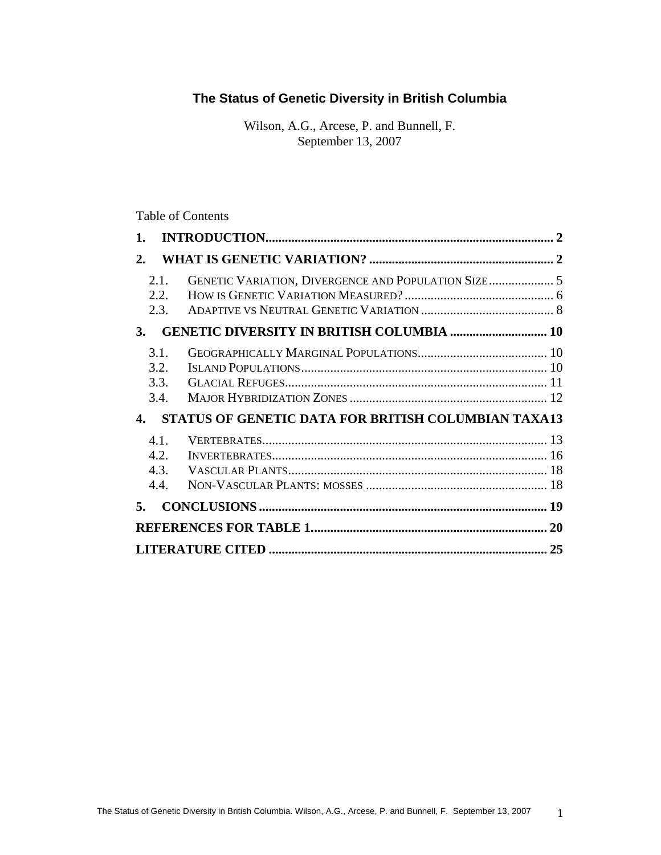# **The Status of Genetic Diversity in British Columbia**

Wilson, A.G., Arcese, P. and Bunnell, F. September 13, 2007

# Table of Contents

| 2.        |                              |                                                            |    |
|-----------|------------------------------|------------------------------------------------------------|----|
|           | 2.1.<br>2.2.<br>2.3.         | GENETIC VARIATION, DIVERGENCE AND POPULATION SIZE 5        |    |
| <b>3.</b> |                              | <b>GENETIC DIVERSITY IN BRITISH COLUMBIA  10</b>           |    |
|           | 3.1.<br>3.2.<br>3.3.<br>3.4. |                                                            |    |
| 4.        |                              | <b>STATUS OF GENETIC DATA FOR BRITISH COLUMBIAN TAXA13</b> |    |
|           | 4.1.<br>4.2.<br>4.3.<br>4.4. |                                                            |    |
| 5.        |                              |                                                            |    |
|           |                              |                                                            | 20 |
|           |                              |                                                            | 25 |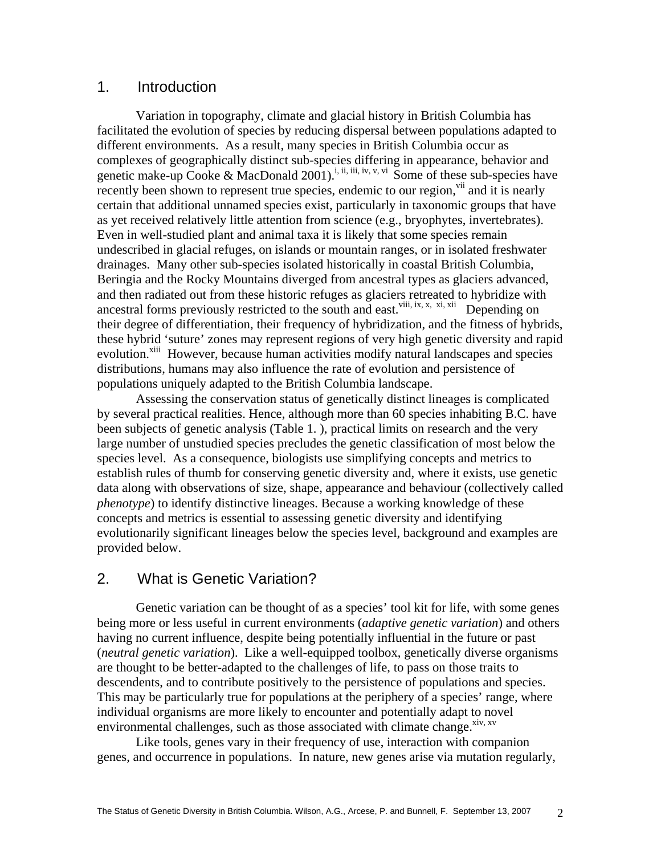# 1. Introduction

Variation in topography, climate and glacial history in British Columbia has facilitated the evolution of species by reducing dispersal between populations adapted to different environments. As a result, many species in British Columbia occur as complexes of geographically distinct sub-species differing in appearance, behavior and genetic make-up Cooke & MacDonald 2001).<sup>i, ii, iii, iv, v, vi</sup> Some of these sub-species have recently been shown to represent true species, endemic to our region, vii and it is nearly certain that additional unnamed species exist, particularly in taxonomic groups that have as yet received relatively little attention from science (e.g., bryophytes, invertebrates). Even in well-studied plant and animal taxa it is likely that some species remain undescribed in glacial refuges, on islands or mountain ranges, or in isolated freshwater drainages. Many other sub-species isolated historically in coastal British Columbia, Beringia and the Rocky Mountains diverged from ancestral types as glaciers advanced, and then radiated out from these historic refuges as glaciers retreated to hybridize with ancestral forms previously restricted to the south and east.<sup>viii, ix, x, xi, xii</sup> Depending on their degree of differentiation, their frequency of hybridization, and the fitness of hybrids, these hybrid 'suture' zones may represent regions of very high genetic diversity and rapid evolution.<sup>xiii</sup> However, because human activities modify natural landscapes and species distributions, humans may also influence the rate of evolution and persistence of populations uniquely adapted to the British Columbia landscape.

Assessing the conservation status of genetically distinct lineages is complicated by several practical realities. Hence, although more than 60 species inhabiting B.C. have been subjects of genetic analysis (Table 1. ), practical limits on research and the very large number of unstudied species precludes the genetic classification of most below the species level. As a consequence, biologists use simplifying concepts and metrics to establish rules of thumb for conserving genetic diversity and, where it exists, use genetic data along with observations of size, shape, appearance and behaviour (collectively called *phenotype*) to identify distinctive lineages. Because a working knowledge of these concepts and metrics is essential to assessing genetic diversity and identifying evolutionarily significant lineages below the species level, background and examples are provided below.

# 2. What is Genetic Variation?

Genetic variation can be thought of as a species' tool kit for life, with some genes being more or less useful in current environments (*adaptive genetic variation*) and others having no current influence, despite being potentially influential in the future or past (*neutral genetic variation*). Like a well-equipped toolbox, genetically diverse organisms are thought to be better-adapted to the challenges of life, to pass on those traits to descendents, and to contribute positively to the persistence of populations and species. This may be particularly true for populations at the periphery of a species' range, where individual organisms are more likely to encounter and potentially adapt to novel environmental challenges, such as those associated with climate change. $x^{xy}$ ,  $x^{xy}$ 

Like tools, genes vary in their frequency of use, interaction with companion genes, and occurrence in populations. In nature, new genes arise via mutation regularly,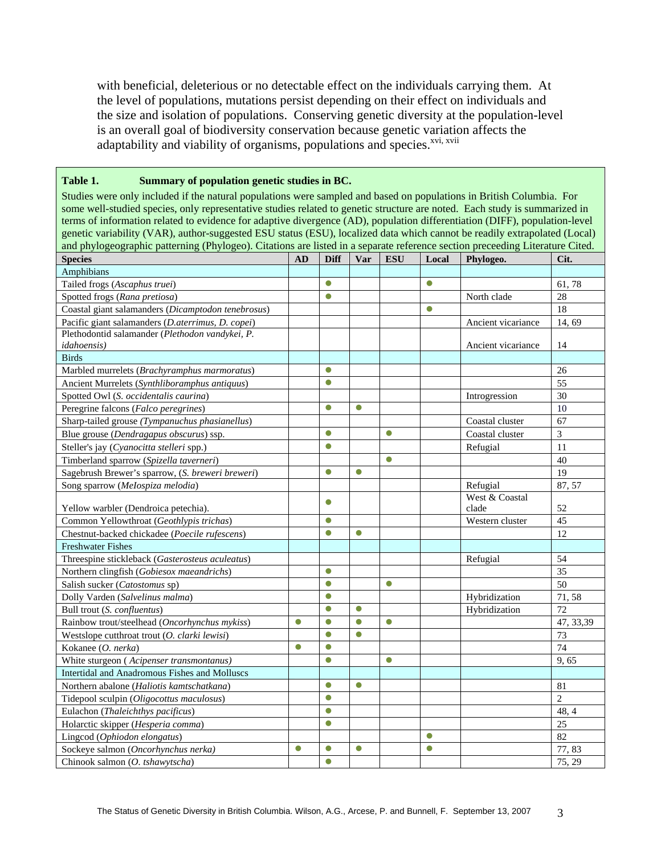with beneficial, deleterious or no detectable effect on the individuals carrying them. At the level of populations, mutations persist depending on their effect on individuals and the size and isolation of populations. Conserving genetic diversity at the population-level is an overall goal of biodiversity conservation because genetic variation affects the adaptability and viability of organisms, populations and species.<sup>xvi, xvii</sup>

#### **Table 1. Summary of population genetic studies in BC.**

Studies were only included if the natural populations were sampled and based on populations in British Columbia. For some well-studied species, only representative studies related to genetic structure are noted. Each study is summarized in terms of information related to evidence for adaptive divergence (AD), population differentiation (DIFF), population-level genetic variability (VAR), author-suggested ESU status (ESU), localized data which cannot be readily extrapolated (Local) and phylogeographic patterning (Phylogeo). Citations are listed in a separate reference section preceeding Literature Cited.

| - - - - - - -<br><b>Species</b>                    | AD        | <b>Diff</b> | Var       | <b>ESU</b> | Local     | Phylogeo.          | Cit.           |
|----------------------------------------------------|-----------|-------------|-----------|------------|-----------|--------------------|----------------|
| Amphibians                                         |           |             |           |            |           |                    |                |
| Tailed frogs (Ascaphus truei)                      |           | $\bullet$   |           |            | $\bullet$ |                    | 61,78          |
| Spotted frogs (Rana pretiosa)                      |           | $\bullet$   |           |            |           | North clade        | 28             |
| Coastal giant salamanders (Dicamptodon tenebrosus) |           |             |           |            | $\bullet$ |                    | 18             |
| Pacific giant salamanders (D.aterrimus, D. copei)  |           |             |           |            |           | Ancient vicariance | 14, 69         |
| Plethodontid salamander (Plethodon vandykei, P.    |           |             |           |            |           |                    |                |
| <i>idahoensis</i> )                                |           |             |           |            |           | Ancient vicariance | 14             |
| <b>Birds</b>                                       |           |             |           |            |           |                    |                |
| Marbled murrelets (Brachyramphus marmoratus)       |           | $\bullet$   |           |            |           |                    | 26             |
| Ancient Murrelets (Synthliboramphus antiquus)      |           | $\bullet$   |           |            |           |                    | 55             |
| Spotted Owl (S. occidentalis caurina)              |           |             |           |            |           | Introgression      | 30             |
| Peregrine falcons (Falco peregrines)               |           | $\bullet$   | $\bullet$ |            |           |                    | 10             |
| Sharp-tailed grouse (Tympanuchus phasianellus)     |           |             |           |            |           | Coastal cluster    | 67             |
| Blue grouse (Dendragapus obscurus) ssp.            |           | $\bullet$   |           | $\bullet$  |           | Coastal cluster    | 3              |
| Steller's jay (Cyanocitta stelleri spp.)           |           | $\bullet$   |           |            |           | Refugial           | 11             |
| Timberland sparrow (Spizella taverneri)            |           |             |           | $\bullet$  |           |                    | 40             |
| Sagebrush Brewer's sparrow, (S. breweri breweri)   |           | $\bullet$   | $\bullet$ |            |           |                    | 19             |
| Song sparrow (Melospiza melodia)                   |           |             |           |            |           | Refugial           | 87, 57         |
|                                                    |           | $\bullet$   |           |            |           | West & Coastal     |                |
| Yellow warbler (Dendroica petechia).               |           |             |           |            |           | clade              | 52             |
| Common Yellowthroat (Geothlypis trichas)           |           | $\bullet$   |           |            |           | Western cluster    | 45             |
| Chestnut-backed chickadee (Poecile rufescens)      |           | $\bullet$   | $\bullet$ |            |           |                    | 12             |
| <b>Freshwater Fishes</b>                           |           |             |           |            |           |                    |                |
| Threespine stickleback (Gasterosteus aculeatus)    |           |             |           |            |           | Refugial           | 54             |
| Northern clingfish (Gobiesox maeandrichs)          |           | $\bullet$   |           |            |           |                    | 35             |
| Salish sucker (Catostomus sp)                      |           | $\bullet$   |           | $\bullet$  |           |                    | 50             |
| Dolly Varden (Salvelinus malma)                    |           | $\bullet$   |           |            |           | Hybridization      | 71,58          |
| Bull trout (S. confluentus)                        |           | $\bullet$   | $\bullet$ |            |           | Hybridization      | 72             |
| Rainbow trout/steelhead (Oncorhynchus mykiss)      | $\bullet$ | $\bullet$   | $\bullet$ | $\bullet$  |           |                    | 47, 33, 39     |
| Westslope cutthroat trout (O. clarki lewisi)       |           | $\bullet$   | $\bullet$ |            |           |                    | 73             |
| Kokanee (O. nerka)                                 | $\bullet$ | $\bullet$   |           |            |           |                    | 74             |
| White sturgeon (Acipenser transmontanus)           |           | $\bullet$   |           | $\bullet$  |           |                    | 9,65           |
| Intertidal and Anadromous Fishes and Molluscs      |           |             |           |            |           |                    |                |
| Northern abalone (Haliotis kamtschatkana)          |           | $\bullet$   | $\bullet$ |            |           |                    | 81             |
| Tidepool sculpin (Oligocottus maculosus)           |           | $\bullet$   |           |            |           |                    | $\overline{2}$ |
| Eulachon (Thaleichthys pacificus)                  |           | $\bullet$   |           |            |           |                    | 48, 4          |
| Holarctic skipper (Hesperia comma)                 |           | $\bullet$   |           |            |           |                    | 25             |
| Lingcod (Ophiodon elongatus)                       |           |             |           |            | $\bullet$ |                    | 82             |
| Sockeye salmon (Oncorhynchus nerka)                | $\bullet$ | $\bullet$   | $\bullet$ |            | $\bullet$ |                    | 77,83          |
| Chinook salmon (O. tshawytscha)                    |           | $\bullet$   |           |            |           |                    | 75, 29         |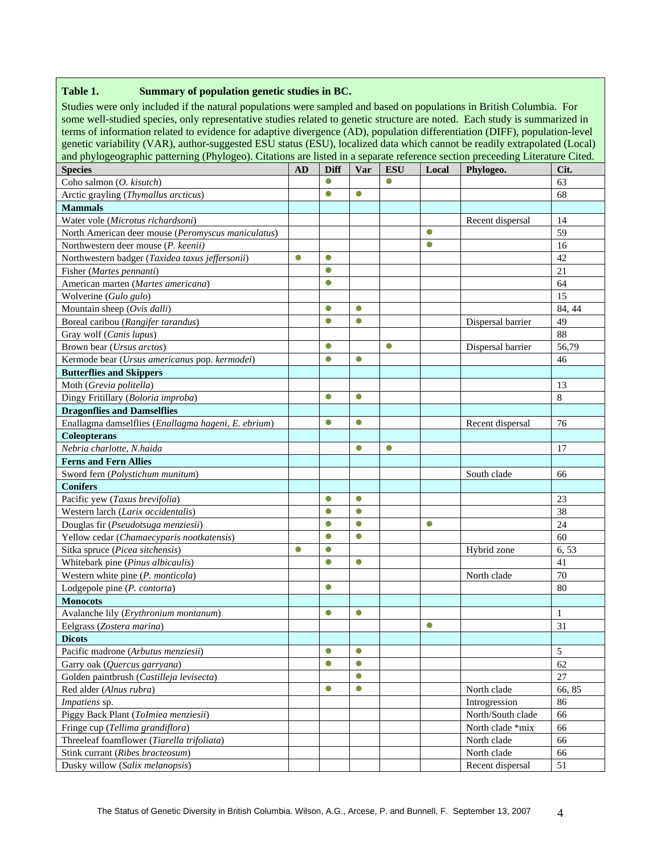#### **Table 1. Summary of population genetic studies in BC.**

Studies were only included if the natural populations were sampled and based on populations in British Columbia. For some well-studied species, only representative studies related to genetic structure are noted. Each study is summarized in terms of information related to evidence for adaptive divergence (AD), population differentiation (DIFF), population-level genetic variability (VAR), author-suggested ESU status (ESU), localized data which cannot be readily extrapolated (Local) and phylogeographic patterning (Phylogeo). Citations are listed in a separate reference section preceeding Literature Cited.

| <b>Species</b>                                      | AD        | <b>Diff</b> | Var       | <b>ESU</b> | Local     | Phylogeo.         | Cit.          |
|-----------------------------------------------------|-----------|-------------|-----------|------------|-----------|-------------------|---------------|
| Coho salmon (O. kisutch)                            |           | $\bullet$   |           | 0          |           |                   | 63            |
| Arctic grayling (Thymallus arcticus)                |           | $\bullet$   | $\bullet$ |            |           |                   | 68            |
| <b>Mammals</b>                                      |           |             |           |            |           |                   |               |
| Water vole (Microtus richardsoni)                   |           |             |           |            |           | Recent dispersal  | 14            |
| North American deer mouse (Peromyscus maniculatus)  |           |             |           |            | $\bullet$ |                   | 59            |
| Northwestern deer mouse (P. keenii)                 |           |             |           |            | $\bullet$ |                   | 16            |
| Northwestern badger (Taxidea taxus jeffersonii)     | $\bullet$ | $\bullet$   |           |            |           |                   | 42            |
| Fisher (Martes pennanti)                            |           | $\bullet$   |           |            |           |                   | 21            |
| American marten (Martes americana)                  |           | $\bullet$   |           |            |           |                   | 64            |
| Wolverine (Gulo gulo)                               |           |             |           |            |           |                   | 15            |
| Mountain sheep (Ovis dalli)                         |           | $\bullet$   | $\bullet$ |            |           |                   | 84, 44        |
| Boreal caribou (Rangifer tarandus)                  |           | $\bullet$   | $\bullet$ |            |           | Dispersal barrier | 49            |
| Gray wolf (Canis lupus)                             |           |             |           |            |           |                   | 88            |
| Brown bear (Ursus arctos)                           |           | $\bullet$   |           | $\bullet$  |           | Dispersal barrier | 56,79         |
| Kermode bear (Ursus americanus pop. kermodei)       |           | $\bullet$   | $\bullet$ |            |           |                   | 46            |
| <b>Butterflies and Skippers</b>                     |           |             |           |            |           |                   |               |
| Moth (Grevia politella)                             |           |             |           |            |           |                   | 13            |
| Dingy Fritillary (Boloria improba)                  |           | $\bullet$   | $\bullet$ |            |           |                   | 8             |
| <b>Dragonflies and Damselflies</b>                  |           |             |           |            |           |                   |               |
| Enallagma damselflies (Enallagma hageni, E. ebrium) |           | $\bullet$   | $\bullet$ |            |           | Recent dispersal  | 76            |
| <b>Coleopterans</b>                                 |           |             |           |            |           |                   |               |
| Nebria charlotte, N.haida                           |           |             | $\bullet$ | $\bullet$  |           |                   | 17            |
| <b>Ferns and Fern Allies</b>                        |           |             |           |            |           |                   |               |
| Sword fern (Polystichum munitum)                    |           |             |           |            |           | South clade       | 66            |
| <b>Conifers</b>                                     |           |             |           |            |           |                   |               |
| Pacific yew (Taxus brevifolia)                      |           | $\bullet$   | $\bullet$ |            |           |                   | 23            |
| Western larch (Larix occidentalis)                  |           | $\bullet$   | $\bullet$ |            |           |                   | 38            |
| Douglas fir (Pseudotsuga menziesii)                 |           | $\bullet$   | $\bullet$ |            | $\bullet$ |                   | 24            |
| Yellow cedar (Chamaecyparis nootkatensis)           |           | $\bullet$   | $\bullet$ |            |           |                   | 60            |
| Sitka spruce (Picea sitchensis)                     | $\bullet$ | $\bullet$   |           |            |           | Hybrid zone       | 6,53          |
| Whitebark pine (Pinus albicaulis)                   |           | $\bullet$   | $\bullet$ |            |           |                   | 41            |
| Western white pine (P. monticola)                   |           |             |           |            |           | North clade       | 70            |
| Lodgepole pine (P. contorta)                        |           | $\bullet$   |           |            |           |                   | 80            |
| <b>Monocots</b>                                     |           |             |           |            |           |                   |               |
| Avalanche lily (Erythronium montanum)               |           | $\bullet$   | $\bullet$ |            |           |                   | 1             |
| Eelgrass (Zostera marina)                           |           |             |           |            | $\bullet$ |                   | 31            |
| <b>Dicots</b>                                       |           |             |           |            |           |                   |               |
| Pacific madrone (Arbutus menziesii)                 |           | $\bullet$   | $\bullet$ |            |           |                   | $\mathfrak s$ |
| Garry oak (Quercus garryana)                        |           | $\bullet$   | $\bullet$ |            |           |                   | 62            |
| Golden paintbrush (Castilleja levisecta)            |           |             | $\bullet$ |            |           |                   | 27            |
| Red alder (Alnus rubra)                             |           | $\bullet$   | $\bullet$ |            |           | North clade       | 66, 85        |
| Impatiens sp.                                       |           |             |           |            |           | Introgression     | 86            |
| Piggy Back Plant (ToImiea menziesii)                |           |             |           |            |           | North/South clade | 66            |
| Fringe cup (Tellima grandiflora)                    |           |             |           |            |           | North clade *mix  | 66            |
| Threeleaf foamflower (Tiarella trifoliata)          |           |             |           |            |           | North clade       | 66            |
| Stink currant (Ribes bracteosum)                    |           |             |           |            |           | North clade       | 66            |
| Dusky willow (Salix melanopsis)                     |           |             |           |            |           | Recent dispersal  | 51            |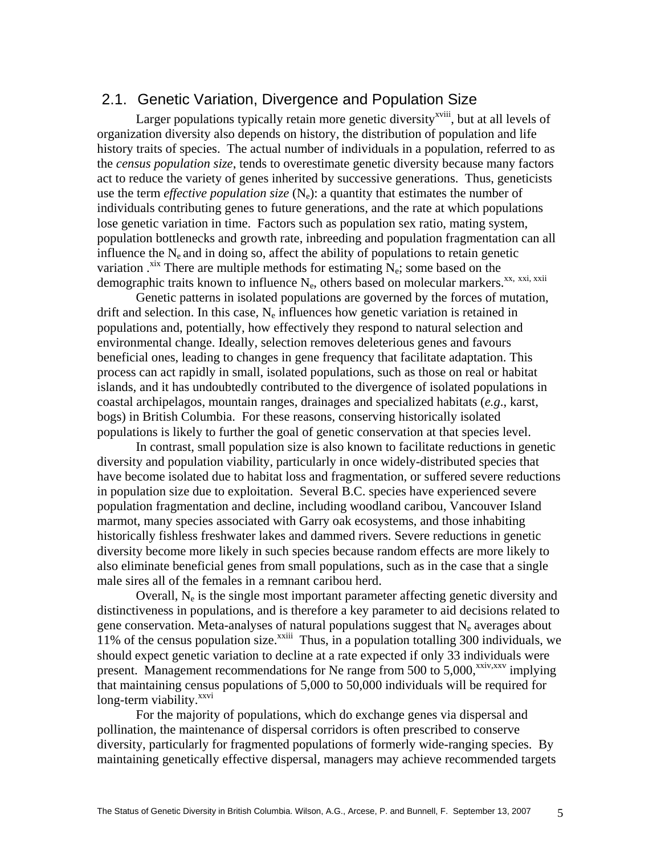# 2.1. Genetic Variation, Divergence and Population Size

Larger populations typically retain more genetic diversity<sup> $x$ viii</sup>, but at all levels of organization diversity also depends on history, the distribution of population and life history traits of species. The actual number of individuals in a population, referred to as the *census population size*, tends to overestimate genetic diversity because many factors act to reduce the variety of genes inherited by successive generations. Thus, geneticists use the term *effective population size*  $(N_e)$ : a quantity that estimates the number of individuals contributing genes to future generations, and the rate at which populations lose genetic variation in time. Factors such as population sex ratio, mating system, population bottlenecks and growth rate, inbreeding and population fragmentation can all influence the  $N_e$  and in doing so, affect the ability of populations to retain genetic variation  $x^{xx}$ . There are multiple methods for estimating N<sub>e</sub>; some based on the demographic traits known to influence  $N_e$ , others based on molecular markers.<sup>xx, xxi</sup>, xxii

Genetic patterns in isolated populations are governed by the forces of mutation, drift and selection. In this case,  $N_e$  influences how genetic variation is retained in populations and, potentially, how effectively they respond to natural selection and environmental change. Ideally, selection removes deleterious genes and favours beneficial ones, leading to changes in gene frequency that facilitate adaptation. This process can act rapidly in small, isolated populations, such as those on real or habitat islands, and it has undoubtedly contributed to the divergence of isolated populations in coastal archipelagos, mountain ranges, drainages and specialized habitats (*e.g*., karst, bogs) in British Columbia. For these reasons, conserving historically isolated populations is likely to further the goal of genetic conservation at that species level.

In contrast, small population size is also known to facilitate reductions in genetic diversity and population viability, particularly in once widely-distributed species that have become isolated due to habitat loss and fragmentation, or suffered severe reductions in population size due to exploitation. Several B.C. species have experienced severe population fragmentation and decline, including woodland caribou, Vancouver Island marmot, many species associated with Garry oak ecosystems, and those inhabiting historically fishless freshwater lakes and dammed rivers. Severe reductions in genetic diversity become more likely in such species because random effects are more likely to also eliminate beneficial genes from small populations, such as in the case that a single male sires all of the females in a remnant caribou herd.

Overall,  $N_e$  is the single most important parameter affecting genetic diversity and distinctiveness in populations, and is therefore a key parameter to aid decisions related to gene conservation. Meta-analyses of natural populations suggest that  $N_e$  averages about 11% of the census population size.<sup>xxiii</sup> Thus, in a population totalling 300 individuals, we should expect genetic variation to decline at a rate expected if only 33 individuals were present. Management recommendations for Ne range from 500 to 5,000,<sup>xxiv,xxv</sup> implying that maintaining census populations of 5,000 to 50,000 individuals will be required for long-term viability.<sup>xxvi</sup>

For the majority of populations, which do exchange genes via dispersal and pollination, the maintenance of dispersal corridors is often prescribed to conserve diversity, particularly for fragmented populations of formerly wide-ranging species. By maintaining genetically effective dispersal, managers may achieve recommended targets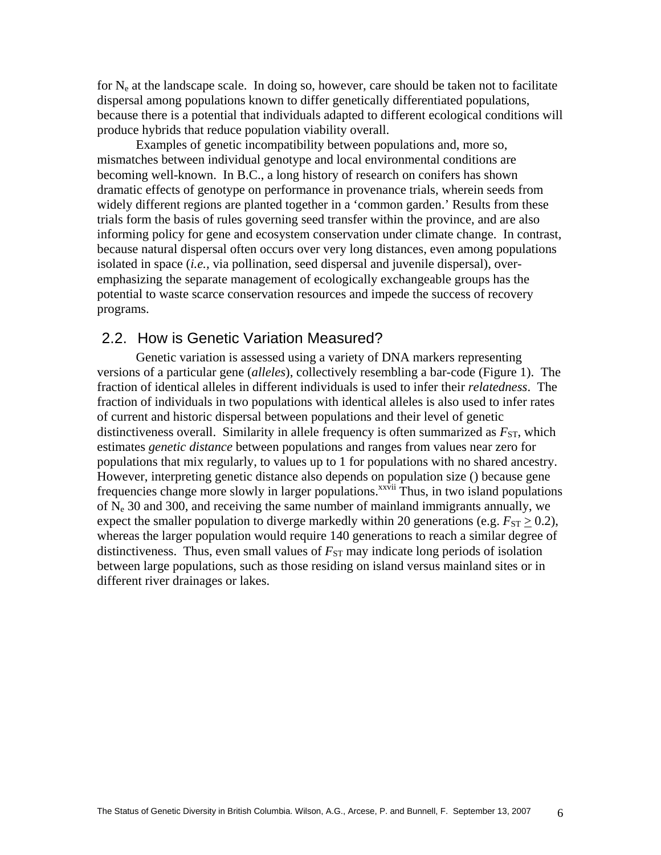for  $N_e$  at the landscape scale. In doing so, however, care should be taken not to facilitate dispersal among populations known to differ genetically differentiated populations, because there is a potential that individuals adapted to different ecological conditions will produce hybrids that reduce population viability overall.

Examples of genetic incompatibility between populations and, more so, mismatches between individual genotype and local environmental conditions are becoming well-known. In B.C., a long history of research on conifers has shown dramatic effects of genotype on performance in provenance trials, wherein seeds from widely different regions are planted together in a 'common garden.' Results from these trials form the basis of rules governing seed transfer within the province, and are also informing policy for gene and ecosystem conservation under climate change. In contrast, because natural dispersal often occurs over very long distances, even among populations isolated in space (*i.e.,* via pollination, seed dispersal and juvenile dispersal), overemphasizing the separate management of ecologically exchangeable groups has the potential to waste scarce conservation resources and impede the success of recovery programs.

# 2.2. How is Genetic Variation Measured?

Genetic variation is assessed using a variety of DNA markers representing versions of a particular gene (*alleles*), collectively resembling a bar-code (Figure 1). The fraction of identical alleles in different individuals is used to infer their *relatedness*. The fraction of individuals in two populations with identical alleles is also used to infer rates of current and historic dispersal between populations and their level of genetic distinctiveness overall. Similarity in allele frequency is often summarized as  $F_{ST}$ , which estimates *genetic distance* between populations and ranges from values near zero for populations that mix regularly, to values up to 1 for populations with no shared ancestry. However, interpreting genetic distance also depends on population size () because gene frequencies change more slowly in larger populations.<sup>xxvii</sup> Thus, in two island populations of  $N_e$  30 and 300, and receiving the same number of mainland immigrants annually, we expect the smaller population to diverge markedly within 20 generations (e.g.  $F_{ST} \geq 0.2$ ), whereas the larger population would require 140 generations to reach a similar degree of distinctiveness. Thus, even small values of  $F_{ST}$  may indicate long periods of isolation between large populations, such as those residing on island versus mainland sites or in different river drainages or lakes.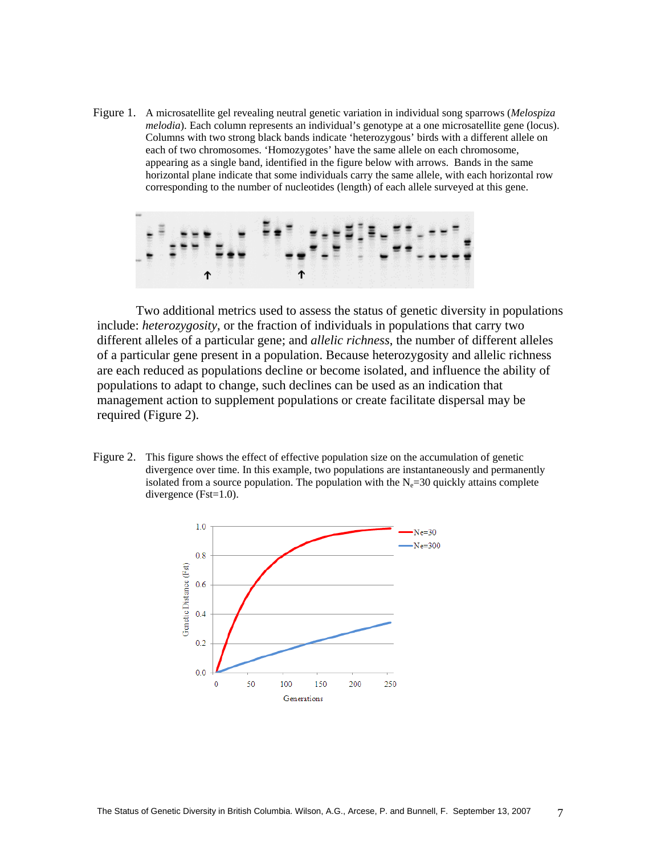Figure 1. A microsatellite gel revealing neutral genetic variation in individual song sparrows (*Melospiza melodia*). Each column represents an individual's genotype at a one microsatellite gene (locus). Columns with two strong black bands indicate 'heterozygous' birds with a different allele on each of two chromosomes. 'Homozygotes' have the same allele on each chromosome, appearing as a single band, identified in the figure below with arrows. Bands in the same horizontal plane indicate that some individuals carry the same allele, with each horizontal row corresponding to the number of nucleotides (length) of each allele surveyed at this gene.

Two additional metrics used to assess the status of genetic diversity in populations include: *heterozygosity*, or the fraction of individuals in populations that carry two different alleles of a particular gene; and *allelic richness*, the number of different alleles of a particular gene present in a population. Because heterozygosity and allelic richness are each reduced as populations decline or become isolated, and influence the ability of populations to adapt to change, such declines can be used as an indication that management action to supplement populations or create facilitate dispersal may be required (Figure 2).

Figure 2. This figure shows the effect of effective population size on the accumulation of genetic divergence over time. In this example, two populations are instantaneously and permanently isolated from a source population. The population with the  $N_e$ =30 quickly attains complete divergence (Fst=1.0).

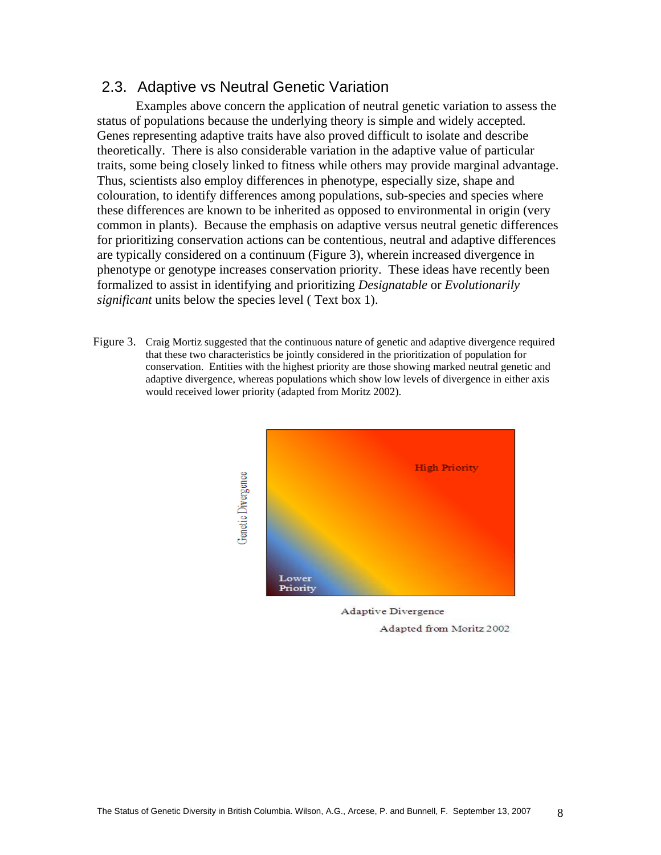# 2.3. Adaptive vs Neutral Genetic Variation

Examples above concern the application of neutral genetic variation to assess the status of populations because the underlying theory is simple and widely accepted. Genes representing adaptive traits have also proved difficult to isolate and describe theoretically. There is also considerable variation in the adaptive value of particular traits, some being closely linked to fitness while others may provide marginal advantage. Thus, scientists also employ differences in phenotype, especially size, shape and colouration, to identify differences among populations, sub-species and species where these differences are known to be inherited as opposed to environmental in origin (very common in plants). Because the emphasis on adaptive versus neutral genetic differences for prioritizing conservation actions can be contentious, neutral and adaptive differences are typically considered on a continuum (Figure 3), wherein increased divergence in phenotype or genotype increases conservation priority. These ideas have recently been formalized to assist in identifying and prioritizing *Designatable* or *Evolutionarily significant* units below the species level ( Text box 1).

Figure 3. Craig Mortiz suggested that the continuous nature of genetic and adaptive divergence required that these two characteristics be jointly considered in the prioritization of population for conservation. Entities with the highest priority are those showing marked neutral genetic and adaptive divergence, whereas populations which show low levels of divergence in either axis would received lower priority (adapted from Moritz 2002).



Adaptive Divergence Adapted from Moritz 2002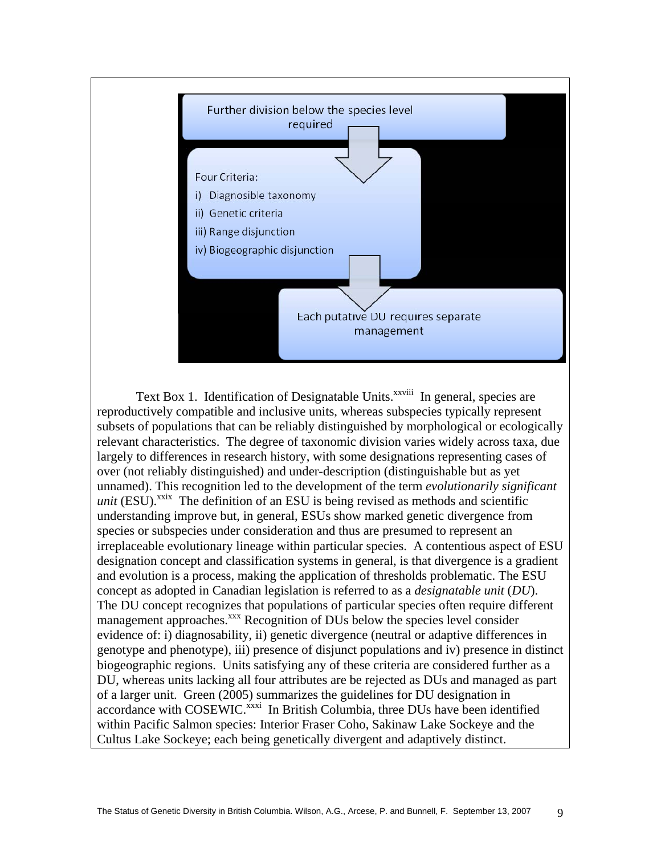

Text Box 1. Identification of Designatable Units.<sup>XXVIII</sup> In general, species are reproductively compatible and inclusive units, whereas subspecies typically represent subsets of populations that can be reliably distinguished by morphological or ecologically relevant characteristics. The degree of taxonomic division varies widely across taxa, due largely to differences in research history, with some designations representing cases of over (not reliably distinguished) and under-description (distinguishable but as yet unnamed). This recognition led to the development of the term *evolutionarily significant*   $unit$  (ESU).<sup>xxix</sup> The definition of an ESU is being revised as methods and scientific understanding improve but, in general, ESUs show marked genetic divergence from species or subspecies under consideration and thus are presumed to represent an irreplaceable evolutionary lineage within particular species. A contentious aspect of ESU designation concept and classification systems in general, is that divergence is a gradient and evolution is a process, making the application of thresholds problematic. The ESU concept as adopted in Canadian legislation is referred to as a *designatable unit* (*DU*). The DU concept recognizes that populations of particular species often require different management approaches.<sup>xxx</sup> Recognition of DUs below the species level consider evidence of: i) diagnosability, ii) genetic divergence (neutral or adaptive differences in genotype and phenotype), iii) presence of disjunct populations and iv) presence in distinct biogeographic regions. Units satisfying any of these criteria are considered further as a DU, whereas units lacking all four attributes are be rejected as DUs and managed as part of a larger unit. Green (2005) summarizes the guidelines for DU designation in accordance with  $\overline{\text{COSEWIC}}$ <sup>xxxi</sup> In British Columbia, three DUs have been identified within Pacific Salmon species: Interior Fraser Coho, Sakinaw Lake Sockeye and the Cultus Lake Sockeye; each being genetically divergent and adaptively distinct.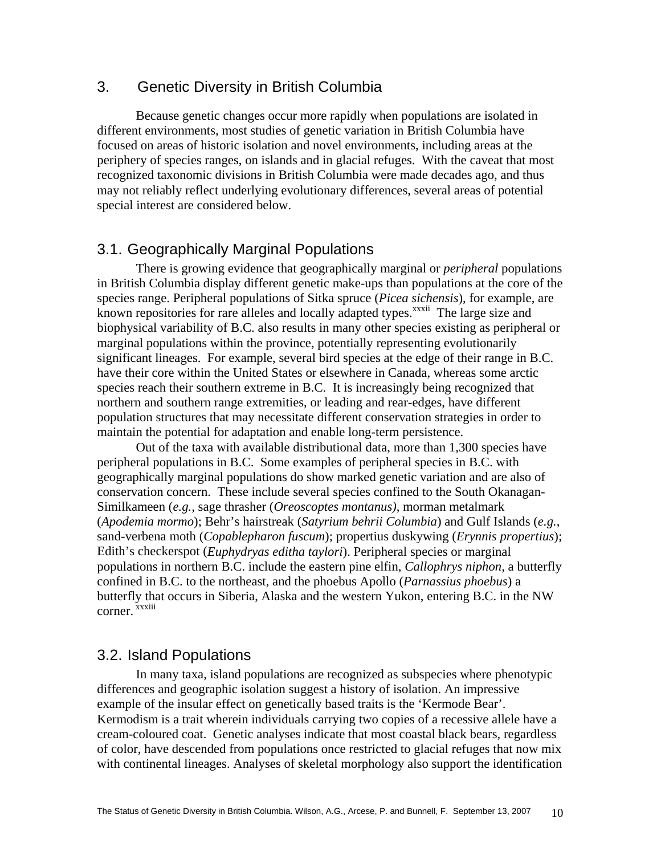# 3. Genetic Diversity in British Columbia

Because genetic changes occur more rapidly when populations are isolated in different environments, most studies of genetic variation in British Columbia have focused on areas of historic isolation and novel environments, including areas at the periphery of species ranges, on islands and in glacial refuges. With the caveat that most recognized taxonomic divisions in British Columbia were made decades ago, and thus may not reliably reflect underlying evolutionary differences, several areas of potential special interest are considered below.

# 3.1. Geographically Marginal Populations

There is growing evidence that geographically marginal or *peripheral* populations in British Columbia display different genetic make-ups than populations at the core of the species range. Peripheral populations of Sitka spruce (*Picea sichensis*), for example, are known repositories for rare alleles and locally adapted types.<sup>xxxii</sup> The large size and biophysical variability of B.C. also results in many other species existing as peripheral or marginal populations within the province, potentially representing evolutionarily significant lineages. For example, several bird species at the edge of their range in B.C. have their core within the United States or elsewhere in Canada, whereas some arctic species reach their southern extreme in B.C. It is increasingly being recognized that northern and southern range extremities, or leading and rear-edges, have different population structures that may necessitate different conservation strategies in order to maintain the potential for adaptation and enable long-term persistence.

Out of the taxa with available distributional data, more than 1,300 species have peripheral populations in B.C. Some examples of peripheral species in B.C. with geographically marginal populations do show marked genetic variation and are also of conservation concern. These include several species confined to the South Okanagan-Similkameen (*e.g.,* sage thrasher (*Oreoscoptes montanus)*, morman metalmark (*Apodemia mormo*); Behr's hairstreak (*Satyrium behrii Columbia*) and Gulf Islands (*e.g.*, sand-verbena moth (*Copablepharon fuscum*); propertius duskywing (*Erynnis propertius*); Edith's checkerspot (*Euphydryas editha taylori*). Peripheral species or marginal populations in northern B.C. include the eastern pine elfin, *Callophrys niphon*, a butterfly confined in B.C. to the northeast, and the phoebus Apollo (*Parnassius phoebus*) a butterfly that occurs in Siberia, Alaska and the western Yukon, entering B.C. in the NW corner. xxxiii

# 3.2. Island Populations

In many taxa, island populations are recognized as subspecies where phenotypic differences and geographic isolation suggest a history of isolation. An impressive example of the insular effect on genetically based traits is the 'Kermode Bear'. Kermodism is a trait wherein individuals carrying two copies of a recessive allele have a cream-coloured coat. Genetic analyses indicate that most coastal black bears, regardless of color, have descended from populations once restricted to glacial refuges that now mix with continental lineages. Analyses of skeletal morphology also support the identification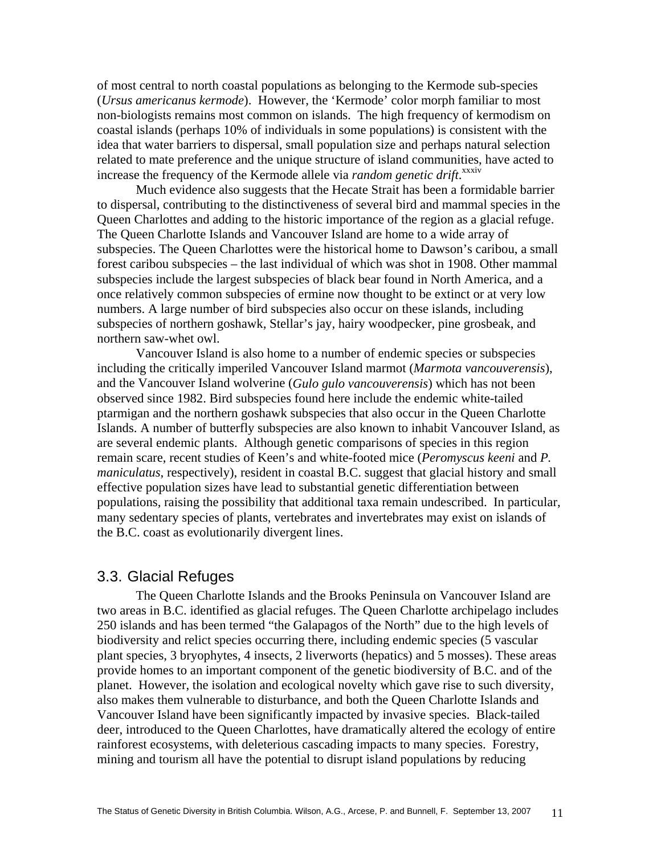of most central to north coastal populations as belonging to the Kermode sub-species (*Ursus americanus kermode*). However, the 'Kermode' color morph familiar to most non-biologists remains most common on islands. The high frequency of kermodism on coastal islands (perhaps 10% of individuals in some populations) is consistent with the idea that water barriers to dispersal, small population size and perhaps natural selection related to mate preference and the unique structure of island communities, have acted to increase the frequency of the Kermode allele via *random genetic drift*.<sup>xxxiv</sup>

Much evidence also suggests that the Hecate Strait has been a formidable barrier to dispersal, contributing to the distinctiveness of several bird and mammal species in the Queen Charlottes and adding to the historic importance of the region as a glacial refuge. The Queen Charlotte Islands and Vancouver Island are home to a wide array of subspecies. The Queen Charlottes were the historical home to Dawson's caribou, a small forest caribou subspecies – the last individual of which was shot in 1908. Other mammal subspecies include the largest subspecies of black bear found in North America, and a once relatively common subspecies of ermine now thought to be extinct or at very low numbers. A large number of bird subspecies also occur on these islands, including subspecies of northern goshawk, Stellar's jay, hairy woodpecker, pine grosbeak, and northern saw-whet owl.

Vancouver Island is also home to a number of endemic species or subspecies including the critically imperiled Vancouver Island marmot (*Marmota vancouverensis*), and the Vancouver Island wolverine (*Gulo gulo vancouverensis*) which has not been observed since 1982. Bird subspecies found here include the endemic white-tailed ptarmigan and the northern goshawk subspecies that also occur in the Queen Charlotte Islands. A number of butterfly subspecies are also known to inhabit Vancouver Island, as are several endemic plants. Although genetic comparisons of species in this region remain scare, recent studies of Keen's and white-footed mice (*Peromyscus keeni* and *P. maniculatus*, respectively), resident in coastal B.C. suggest that glacial history and small effective population sizes have lead to substantial genetic differentiation between populations, raising the possibility that additional taxa remain undescribed. In particular, many sedentary species of plants, vertebrates and invertebrates may exist on islands of the B.C. coast as evolutionarily divergent lines.

### 3.3. Glacial Refuges

The Queen Charlotte Islands and the Brooks Peninsula on Vancouver Island are two areas in B.C. identified as glacial refuges. The Queen Charlotte archipelago includes 250 islands and has been termed "the Galapagos of the North" due to the high levels of biodiversity and relict species occurring there, including endemic species (5 vascular plant species, 3 bryophytes, 4 insects, 2 liverworts (hepatics) and 5 mosses). These areas provide homes to an important component of the genetic biodiversity of B.C. and of the planet. However, the isolation and ecological novelty which gave rise to such diversity, also makes them vulnerable to disturbance, and both the Queen Charlotte Islands and Vancouver Island have been significantly impacted by invasive species. Black-tailed deer, introduced to the Queen Charlottes, have dramatically altered the ecology of entire rainforest ecosystems, with deleterious cascading impacts to many species. Forestry, mining and tourism all have the potential to disrupt island populations by reducing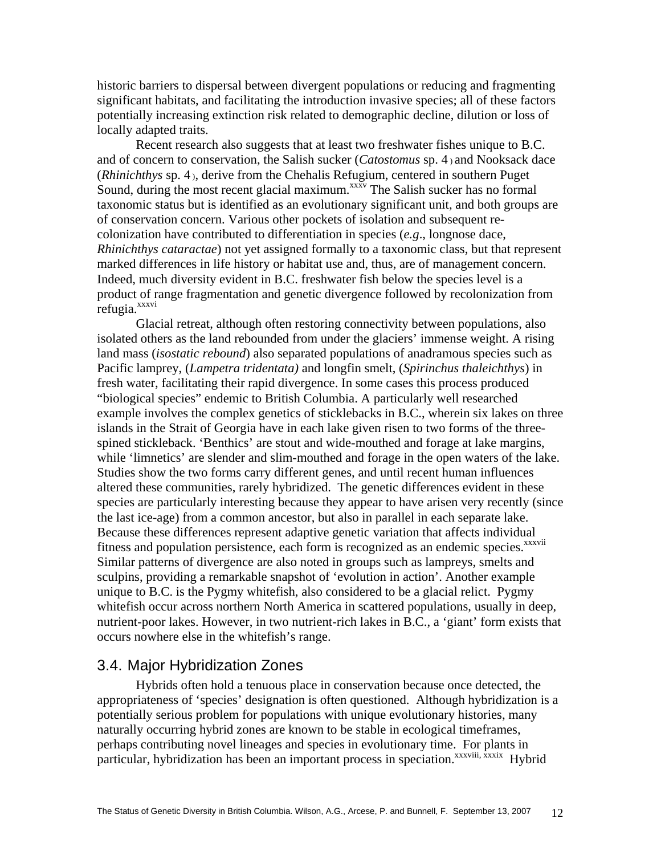historic barriers to dispersal between divergent populations or reducing and fragmenting significant habitats, and facilitating the introduction invasive species; all of these factors potentially increasing extinction risk related to demographic decline, dilution or loss of locally adapted traits.

Recent research also suggests that at least two freshwater fishes unique to B.C. and of concern to conservation, the Salish sucker (*Catostomus* sp. 4 ) and Nooksack dace (*Rhinichthys* sp. 4 ), derive from the Chehalis Refugium, centered in southern Puget Sound, during the most recent glacial maximum.<sup>xxxv</sup> The Salish sucker has no formal taxonomic status but is identified as an evolutionary significant unit, and both groups are of conservation concern. Various other pockets of isolation and subsequent recolonization have contributed to differentiation in species (*e.g*., longnose dace, *Rhinichthys cataractae*) not yet assigned formally to a taxonomic class, but that represent marked differences in life history or habitat use and, thus, are of management concern. Indeed, much diversity evident in B.C. freshwater fish below the species level is a product of range fragmentation and genetic divergence followed by recolonization from refugia.xxxvi

Glacial retreat, although often restoring connectivity between populations, also isolated others as the land rebounded from under the glaciers' immense weight. A rising land mass (*isostatic rebound*) also separated populations of anadramous species such as Pacific lamprey, (*Lampetra tridentata)* and longfin smelt, (*Spirinchus thaleichthys*) in fresh water, facilitating their rapid divergence. In some cases this process produced "biological species" endemic to British Columbia. A particularly well researched example involves the complex genetics of sticklebacks in B.C., wherein six lakes on three islands in the Strait of Georgia have in each lake given risen to two forms of the threespined stickleback. 'Benthics' are stout and wide-mouthed and forage at lake margins, while 'limnetics' are slender and slim-mouthed and forage in the open waters of the lake. Studies show the two forms carry different genes, and until recent human influences altered these communities, rarely hybridized. The genetic differences evident in these species are particularly interesting because they appear to have arisen very recently (since the last ice-age) from a common ancestor, but also in parallel in each separate lake. Because these differences represent adaptive genetic variation that affects individual fitness and population persistence, each form is recognized as an endemic species.<sup>xxxvii</sup> Similar patterns of divergence are also noted in groups such as lampreys, smelts and sculpins, providing a remarkable snapshot of 'evolution in action'. Another example unique to B.C. is the Pygmy whitefish, also considered to be a glacial relict. Pygmy whitefish occur across northern North America in scattered populations, usually in deep, nutrient-poor lakes. However, in two nutrient-rich lakes in B.C., a 'giant' form exists that occurs nowhere else in the whitefish's range.

# 3.4. Major Hybridization Zones

Hybrids often hold a tenuous place in conservation because once detected, the appropriateness of 'species' designation is often questioned. Although hybridization is a potentially serious problem for populations with unique evolutionary histories, many naturally occurring hybrid zones are known to be stable in ecological timeframes, perhaps contributing novel lineages and species in evolutionary time. For plants in particular, hybridization has been an important process in speciation.<sup>xxxviii, xxxix</sup> Hybrid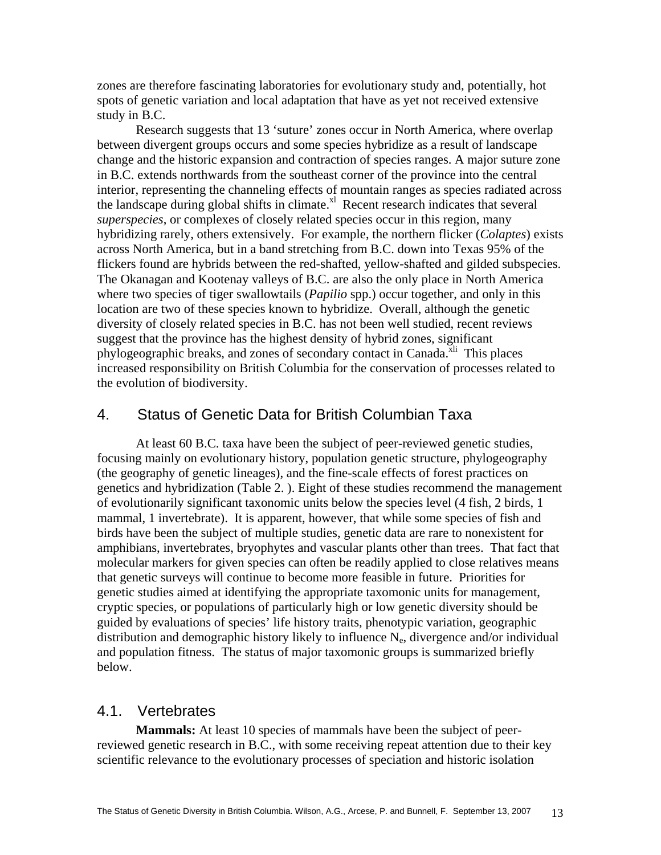zones are therefore fascinating laboratories for evolutionary study and, potentially, hot spots of genetic variation and local adaptation that have as yet not received extensive study in B.C.

Research suggests that 13 'suture' zones occur in North America, where overlap between divergent groups occurs and some species hybridize as a result of landscape change and the historic expansion and contraction of species ranges. A major suture zone in B.C. extends northwards from the southeast corner of the province into the central interior, representing the channeling effects of mountain ranges as species radiated across the landscape during global shifts in climate. $x<sup>1</sup>$  Recent research indicates that several *superspecies*, or complexes of closely related species occur in this region, many hybridizing rarely, others extensively. For example, the northern flicker (*Colaptes*) exists across North America, but in a band stretching from B.C. down into Texas 95% of the flickers found are hybrids between the red-shafted, yellow-shafted and gilded subspecies. The Okanagan and Kootenay valleys of B.C. are also the only place in North America where two species of tiger swallowtails (*Papilio* spp.) occur together, and only in this location are two of these species known to hybridize. Overall, although the genetic diversity of closely related species in B.C. has not been well studied, recent reviews suggest that the province has the highest density of hybrid zones, significant phylogeographic breaks, and zones of secondary contact in Canada.<sup>xli</sup> This places increased responsibility on British Columbia for the conservation of processes related to the evolution of biodiversity.

# 4. Status of Genetic Data for British Columbian Taxa

At least 60 B.C. taxa have been the subject of peer-reviewed genetic studies, focusing mainly on evolutionary history, population genetic structure, phylogeography (the geography of genetic lineages), and the fine-scale effects of forest practices on genetics and hybridization (Table 2. ). Eight of these studies recommend the management of evolutionarily significant taxonomic units below the species level (4 fish, 2 birds, 1 mammal, 1 invertebrate). It is apparent, however, that while some species of fish and birds have been the subject of multiple studies, genetic data are rare to nonexistent for amphibians, invertebrates, bryophytes and vascular plants other than trees. That fact that molecular markers for given species can often be readily applied to close relatives means that genetic surveys will continue to become more feasible in future. Priorities for genetic studies aimed at identifying the appropriate taxomonic units for management, cryptic species, or populations of particularly high or low genetic diversity should be guided by evaluations of species' life history traits, phenotypic variation, geographic distribution and demographic history likely to influence  $N_e$ , divergence and/or individual and population fitness. The status of major taxomonic groups is summarized briefly below.

### 4.1. Vertebrates

**Mammals:** At least 10 species of mammals have been the subject of peerreviewed genetic research in B.C., with some receiving repeat attention due to their key scientific relevance to the evolutionary processes of speciation and historic isolation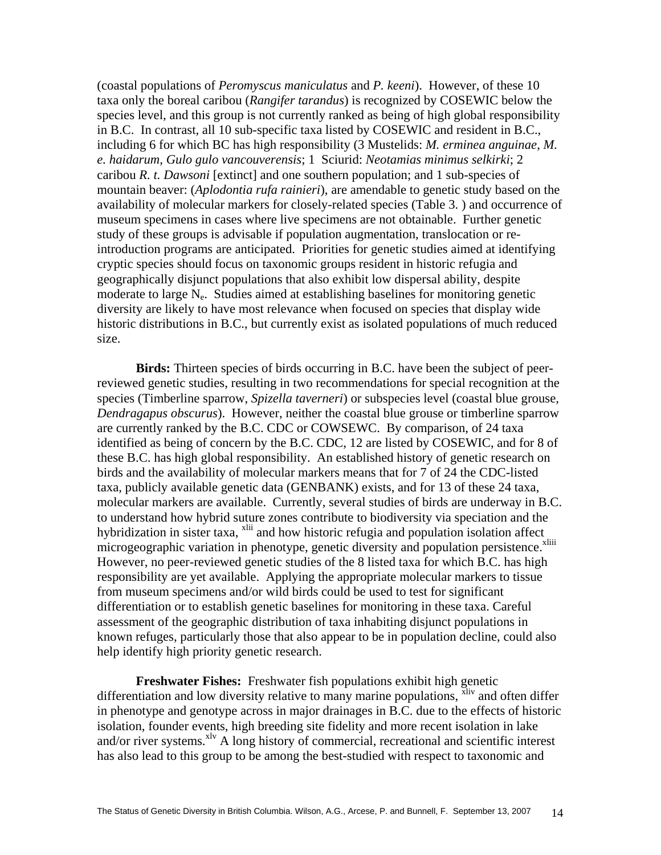(coastal populations of *Peromyscus maniculatus* and *P. keeni*). However, of these 10 taxa only the boreal caribou (*Rangifer tarandus*) is recognized by COSEWIC below the species level, and this group is not currently ranked as being of high global responsibility in B.C. In contrast, all 10 sub-specific taxa listed by COSEWIC and resident in B.C., including 6 for which BC has high responsibility (3 Mustelids: *M. erminea anguinae, M. e. haidarum, Gulo gulo vancouverensis*; 1 Sciurid: *Neotamias minimus selkirki*; 2 caribou *R. t. Dawsoni* [extinct] and one southern population; and 1 sub-species of mountain beaver: (*Aplodontia rufa rainieri*), are amendable to genetic study based on the availability of molecular markers for closely-related species (Table 3. ) and occurrence of museum specimens in cases where live specimens are not obtainable. Further genetic study of these groups is advisable if population augmentation, translocation or reintroduction programs are anticipated. Priorities for genetic studies aimed at identifying cryptic species should focus on taxonomic groups resident in historic refugia and geographically disjunct populations that also exhibit low dispersal ability, despite moderate to large  $N_e$ . Studies aimed at establishing baselines for monitoring genetic diversity are likely to have most relevance when focused on species that display wide historic distributions in B.C., but currently exist as isolated populations of much reduced size.

**Birds:** Thirteen species of birds occurring in B.C. have been the subject of peerreviewed genetic studies, resulting in two recommendations for special recognition at the species (Timberline sparrow, *Spizella taverneri*) or subspecies level (coastal blue grouse, *Dendragapus obscurus*). However, neither the coastal blue grouse or timberline sparrow are currently ranked by the B.C. CDC or COWSEWC. By comparison, of 24 taxa identified as being of concern by the B.C. CDC, 12 are listed by COSEWIC, and for 8 of these B.C. has high global responsibility. An established history of genetic research on birds and the availability of molecular markers means that for 7 of 24 the CDC-listed taxa, publicly available genetic data (GENBANK) exists, and for 13 of these 24 taxa, molecular markers are available. Currently, several studies of birds are underway in B.C. to understand how hybrid suture zones contribute to biodiversity via speciation and the hybridization in sister taxa, <sup>xlii</sup> and how historic refugia and population isolation affect microgeographic variation in phenotype, genetic diversity and population persistence.<sup>xliii</sup> However, no peer-reviewed genetic studies of the 8 listed taxa for which B.C. has high responsibility are yet available. Applying the appropriate molecular markers to tissue from museum specimens and/or wild birds could be used to test for significant differentiation or to establish genetic baselines for monitoring in these taxa. Careful assessment of the geographic distribution of taxa inhabiting disjunct populations in known refuges, particularly those that also appear to be in population decline, could also help identify high priority genetic research.

**Freshwater Fishes:** Freshwater fish populations exhibit high genetic differentiation and low diversity relative to many marine populations,  $\frac{x}{y}$  and often differ in phenotype and genotype across in major drainages in B.C. due to the effects of historic isolation, founder events, high breeding site fidelity and more recent isolation in lake and/or river systems. $x^{1v}$  A long history of commercial, recreational and scientific interest has also lead to this group to be among the best-studied with respect to taxonomic and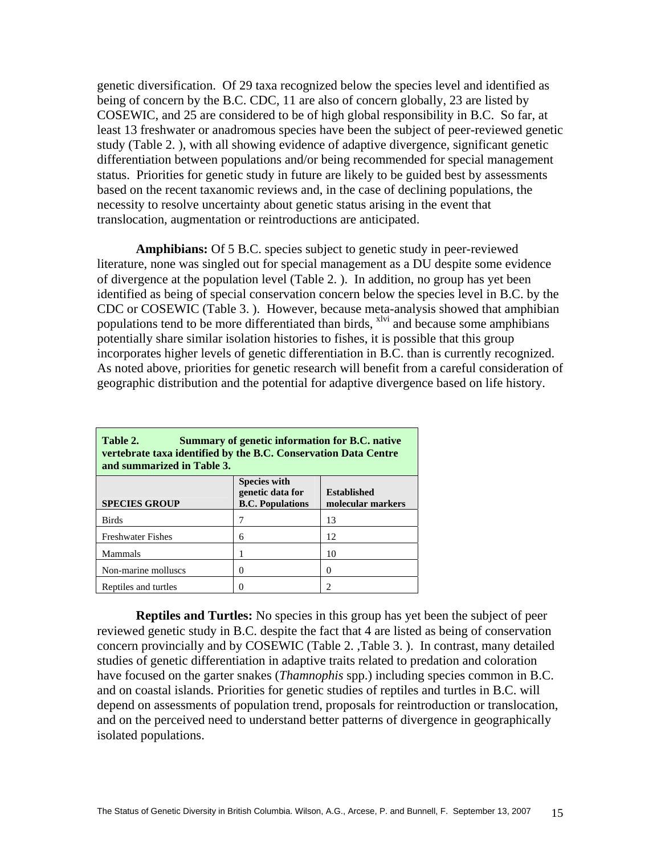genetic diversification. Of 29 taxa recognized below the species level and identified as being of concern by the B.C. CDC, 11 are also of concern globally, 23 are listed by COSEWIC, and 25 are considered to be of high global responsibility in B.C. So far, at least 13 freshwater or anadromous species have been the subject of peer-reviewed genetic study (Table 2. ), with all showing evidence of adaptive divergence, significant genetic differentiation between populations and/or being recommended for special management status. Priorities for genetic study in future are likely to be guided best by assessments based on the recent taxanomic reviews and, in the case of declining populations, the necessity to resolve uncertainty about genetic status arising in the event that translocation, augmentation or reintroductions are anticipated.

**Amphibians:** Of 5 B.C. species subject to genetic study in peer-reviewed literature, none was singled out for special management as a DU despite some evidence of divergence at the population level (Table 2. ). In addition, no group has yet been identified as being of special conservation concern below the species level in B.C. by the CDC or COSEWIC (Table 3. ). However, because meta-analysis showed that amphibian populations tend to be more differentiated than birds, <sup>xlvi</sup> and because some amphibians potentially share similar isolation histories to fishes, it is possible that this group incorporates higher levels of genetic differentiation in B.C. than is currently recognized. As noted above, priorities for genetic research will benefit from a careful consideration of geographic distribution and the potential for adaptive divergence based on life history.

| Table 2.<br>Summary of genetic information for B.C. native<br>vertebrate taxa identified by the B.C. Conservation Data Centre<br>and summarized in Table 3. |                                                                    |                                         |  |  |  |  |  |
|-------------------------------------------------------------------------------------------------------------------------------------------------------------|--------------------------------------------------------------------|-----------------------------------------|--|--|--|--|--|
| <b>SPECIES GROUP</b>                                                                                                                                        | <b>Species with</b><br>genetic data for<br><b>B.C. Populations</b> | <b>Established</b><br>molecular markers |  |  |  |  |  |
| <b>Birds</b>                                                                                                                                                |                                                                    | 13                                      |  |  |  |  |  |
| <b>Freshwater Fishes</b>                                                                                                                                    | 6                                                                  | 12                                      |  |  |  |  |  |
| Mammals                                                                                                                                                     |                                                                    | 10                                      |  |  |  |  |  |
| Non-marine molluscs                                                                                                                                         |                                                                    | 0                                       |  |  |  |  |  |
| Reptiles and turtles                                                                                                                                        |                                                                    |                                         |  |  |  |  |  |

**Reptiles and Turtles:** No species in this group has yet been the subject of peer reviewed genetic study in B.C. despite the fact that 4 are listed as being of conservation concern provincially and by COSEWIC (Table 2. ,Table 3. ). In contrast, many detailed studies of genetic differentiation in adaptive traits related to predation and coloration have focused on the garter snakes (*Thamnophis* spp.) including species common in B.C. and on coastal islands. Priorities for genetic studies of reptiles and turtles in B.C. will depend on assessments of population trend, proposals for reintroduction or translocation, and on the perceived need to understand better patterns of divergence in geographically isolated populations.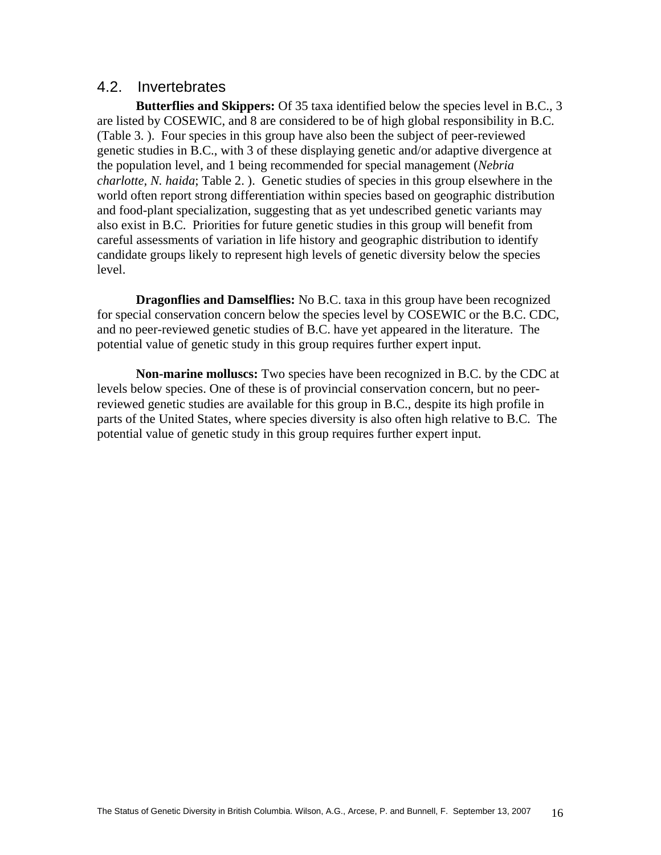# 4.2. Invertebrates

**Butterflies and Skippers:** Of 35 taxa identified below the species level in B.C., 3 are listed by COSEWIC, and 8 are considered to be of high global responsibility in B.C. (Table 3. ). Four species in this group have also been the subject of peer-reviewed genetic studies in B.C., with 3 of these displaying genetic and/or adaptive divergence at the population level, and 1 being recommended for special management (*Nebria charlotte, N. haida*; Table 2. ). Genetic studies of species in this group elsewhere in the world often report strong differentiation within species based on geographic distribution and food-plant specialization, suggesting that as yet undescribed genetic variants may also exist in B.C. Priorities for future genetic studies in this group will benefit from careful assessments of variation in life history and geographic distribution to identify candidate groups likely to represent high levels of genetic diversity below the species level.

**Dragonflies and Damselflies:** No B.C. taxa in this group have been recognized for special conservation concern below the species level by COSEWIC or the B.C. CDC, and no peer-reviewed genetic studies of B.C. have yet appeared in the literature. The potential value of genetic study in this group requires further expert input.

**Non-marine molluscs:** Two species have been recognized in B.C. by the CDC at levels below species. One of these is of provincial conservation concern, but no peerreviewed genetic studies are available for this group in B.C., despite its high profile in parts of the United States, where species diversity is also often high relative to B.C. The potential value of genetic study in this group requires further expert input.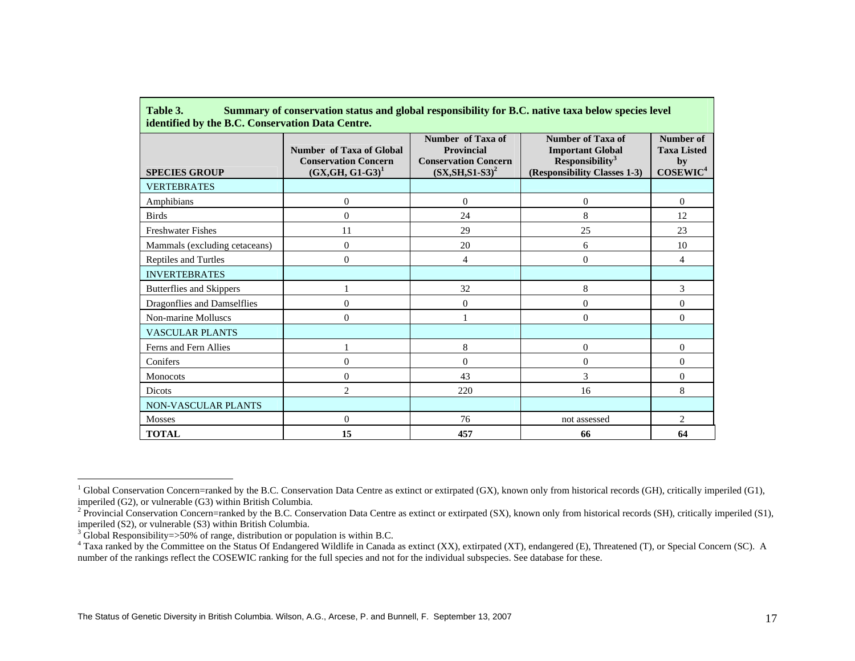| <b>SPECIES GROUP</b>          | Number of Taxa of Global<br><b>Conservation Concern</b><br>$(GX, GH, G1-G3)^1$ | Number of Taxa of<br>Provincial<br><b>Conservation Concern</b><br>$(SX, SH, S1-S3)^2$ | <b>Number of Taxa of</b><br><b>Important Global</b><br>Responsibility <sup>3</sup><br>(Responsibility Classes 1-3) | Number of<br><b>Taxa Listed</b><br>by<br>COSEWIC <sup>4</sup> |
|-------------------------------|--------------------------------------------------------------------------------|---------------------------------------------------------------------------------------|--------------------------------------------------------------------------------------------------------------------|---------------------------------------------------------------|
| <b>VERTEBRATES</b>            |                                                                                |                                                                                       |                                                                                                                    |                                                               |
| Amphibians                    | $\Omega$                                                                       | $\Omega$                                                                              | 0                                                                                                                  | $\Omega$                                                      |
| <b>Birds</b>                  | $\overline{0}$                                                                 | 24                                                                                    | 8                                                                                                                  | 12                                                            |
| <b>Freshwater Fishes</b>      | 11                                                                             | 29                                                                                    | 25                                                                                                                 | 23                                                            |
| Mammals (excluding cetaceans) | $\Omega$                                                                       | 20                                                                                    | 6                                                                                                                  | 10                                                            |
| Reptiles and Turtles          | $\theta$                                                                       | 4                                                                                     | $\mathbf{0}$                                                                                                       | 4                                                             |
| <b>INVERTEBRATES</b>          |                                                                                |                                                                                       |                                                                                                                    |                                                               |
| Butterflies and Skippers      |                                                                                | 32                                                                                    | 8                                                                                                                  | 3                                                             |
| Dragonflies and Damselflies   | $\overline{0}$                                                                 | $\mathbf{0}$                                                                          | $\boldsymbol{0}$                                                                                                   | $\Omega$                                                      |
| Non-marine Molluscs           | $\Omega$                                                                       |                                                                                       | 0                                                                                                                  | $\Omega$                                                      |
| <b>VASCULAR PLANTS</b>        |                                                                                |                                                                                       |                                                                                                                    |                                                               |
| Ferns and Fern Allies         |                                                                                | 8                                                                                     | $\boldsymbol{0}$                                                                                                   | $\overline{0}$                                                |
| Conifers                      | $\overline{0}$                                                                 | $\overline{0}$                                                                        | $\theta$                                                                                                           | $\Omega$                                                      |
| Monocots                      | $\Omega$                                                                       | 43                                                                                    | 3                                                                                                                  | $\Omega$                                                      |
| Dicots                        | $\overline{c}$                                                                 | 220                                                                                   | 16                                                                                                                 | 8                                                             |
| NON-VASCULAR PLANTS           |                                                                                |                                                                                       |                                                                                                                    |                                                               |
| <b>Mosses</b>                 | $\Omega$                                                                       | 76                                                                                    | not assessed                                                                                                       | $\overline{2}$                                                |
| <b>TOTAL</b>                  | 15                                                                             | 457                                                                                   | 66                                                                                                                 | 64                                                            |

# **Table 3. Summary of conservation status and global responsibility for B.C. native taxa below species level**

<sup>&</sup>lt;sup>1</sup> Global Conservation Concern=ranked by the B.C. Conservation Data Centre as extinct or extirpated (GX), known only from historical records (GH), critically imperiled (G1), imperiled (G2), or vulnerable (G3) within British Columbia.

<sup>&</sup>lt;sup>2</sup> Provincial Conservation Concern=ranked by the B.C. Conservation Data Centre as extinct or extirpated (SX), known only from historical records (SH), critically imperiled (S1), imperiled (S2), or vulnerable (S3) within British Columbia.

<sup>&</sup>lt;sup>3</sup> Global Responsibility=>50% of range, distribution or population is within B.C.

<sup>&</sup>lt;sup>4</sup> Taxa ranked by the Committee on the Status Of Endangered Wildlife in Canada as extinct (XX), extirpated (XT), endangered (E), Threatened (T), or Special Concern (SC). A number of the rankings reflect the COSEWIC ranking for the full species and not for the individual subspecies. See database for these.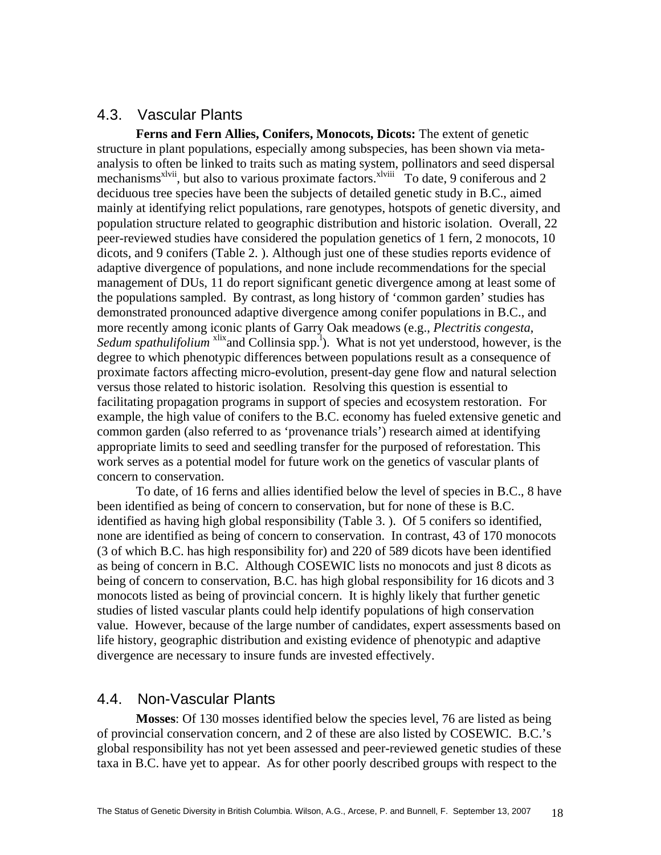# 4.3. Vascular Plants

**Ferns and Fern Allies, Conifers, Monocots, Dicots:** The extent of genetic structure in plant populations, especially among subspecies, has been shown via metaanalysis to often be linked to traits such as mating system, pollinators and seed dispersal mechanisms<sup>xlvii</sup>, but also to various proximate factors.<sup>xlviii</sup> To date, 9 coniferous and 2 deciduous tree species have been the subjects of detailed genetic study in B.C., aimed mainly at identifying relict populations, rare genotypes, hotspots of genetic diversity, and population structure related to geographic distribution and historic isolation. Overall, 22 peer-reviewed studies have considered the population genetics of 1 fern, 2 monocots, 10 dicots, and 9 conifers (Table 2. ). Although just one of these studies reports evidence of adaptive divergence of populations, and none include recommendations for the special management of DUs, 11 do report significant genetic divergence among at least some of the populations sampled. By contrast, as long history of 'common garden' studies has demonstrated pronounced adaptive divergence among conifer populations in B.C., and more recently among iconic plants of Garry Oak meadows (e.g., *Plectritis congesta*, Sedum spathulifolium <sup>xlix</sup>and Collinsia spp.<sup>1</sup>). What is not yet understood, however, is the degree to which phenotypic differences between populations result as a consequence of proximate factors affecting micro-evolution, present-day gene flow and natural selection versus those related to historic isolation. Resolving this question is essential to facilitating propagation programs in support of species and ecosystem restoration. For example, the high value of conifers to the B.C. economy has fueled extensive genetic and common garden (also referred to as 'provenance trials') research aimed at identifying appropriate limits to seed and seedling transfer for the purposed of reforestation. This work serves as a potential model for future work on the genetics of vascular plants of concern to conservation.

To date, of 16 ferns and allies identified below the level of species in B.C., 8 have been identified as being of concern to conservation, but for none of these is B.C. identified as having high global responsibility (Table 3. ). Of 5 conifers so identified, none are identified as being of concern to conservation. In contrast, 43 of 170 monocots (3 of which B.C. has high responsibility for) and 220 of 589 dicots have been identified as being of concern in B.C. Although COSEWIC lists no monocots and just 8 dicots as being of concern to conservation, B.C. has high global responsibility for 16 dicots and 3 monocots listed as being of provincial concern. It is highly likely that further genetic studies of listed vascular plants could help identify populations of high conservation value. However, because of the large number of candidates, expert assessments based on life history, geographic distribution and existing evidence of phenotypic and adaptive divergence are necessary to insure funds are invested effectively.

# 4.4. Non-Vascular Plants

**Mosses**: Of 130 mosses identified below the species level, 76 are listed as being of provincial conservation concern, and 2 of these are also listed by COSEWIC. B.C.'s global responsibility has not yet been assessed and peer-reviewed genetic studies of these taxa in B.C. have yet to appear. As for other poorly described groups with respect to the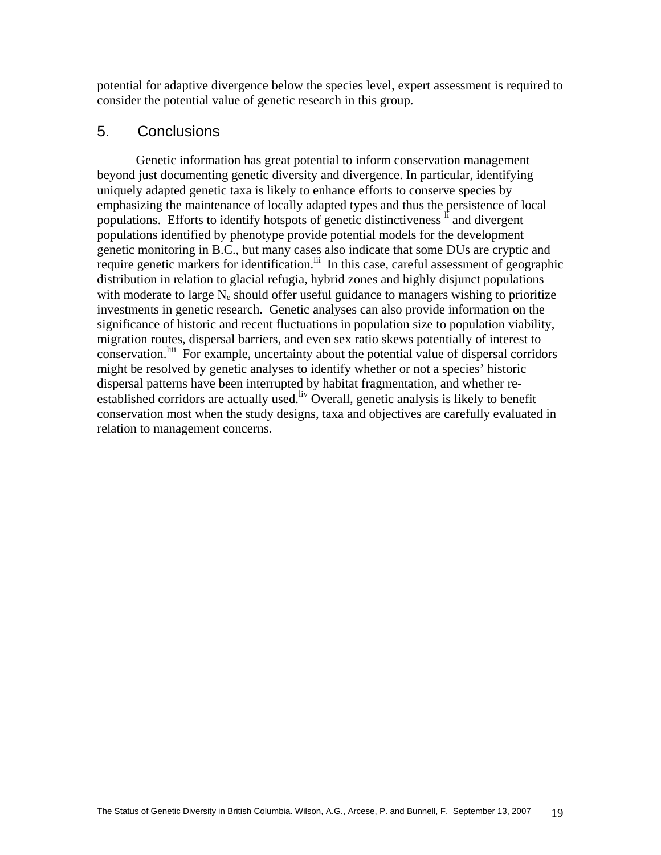potential for adaptive divergence below the species level, expert assessment is required to consider the potential value of genetic research in this group.

# 5. Conclusions

Genetic information has great potential to inform conservation management beyond just documenting genetic diversity and divergence. In particular, identifying uniquely adapted genetic taxa is likely to enhance efforts to conserve species by emphasizing the maintenance of locally adapted types and thus the persistence of local populations. Efforts to identify hotspots of genetic distinctiveness li and divergent populations identified by phenotype provide potential models for the development genetic monitoring in B.C., but many cases also indicate that some DUs are cryptic and require genetic markers for identification.<sup>lii</sup> In this case, careful assessment of geographic distribution in relation to glacial refugia, hybrid zones and highly disjunct populations with moderate to large  $N_e$  should offer useful guidance to managers wishing to prioritize investments in genetic research. Genetic analyses can also provide information on the significance of historic and recent fluctuations in population size to population viability, migration routes, dispersal barriers, and even sex ratio skews potentially of interest to conservation.<sup>liii</sup> For example, uncertainty about the potential value of dispersal corridors might be resolved by genetic analyses to identify whether or not a species' historic dispersal patterns have been interrupted by habitat fragmentation, and whether reestablished corridors are actually used.<sup>liv</sup> Overall, genetic analysis is likely to benefit conservation most when the study designs, taxa and objectives are carefully evaluated in relation to management concerns.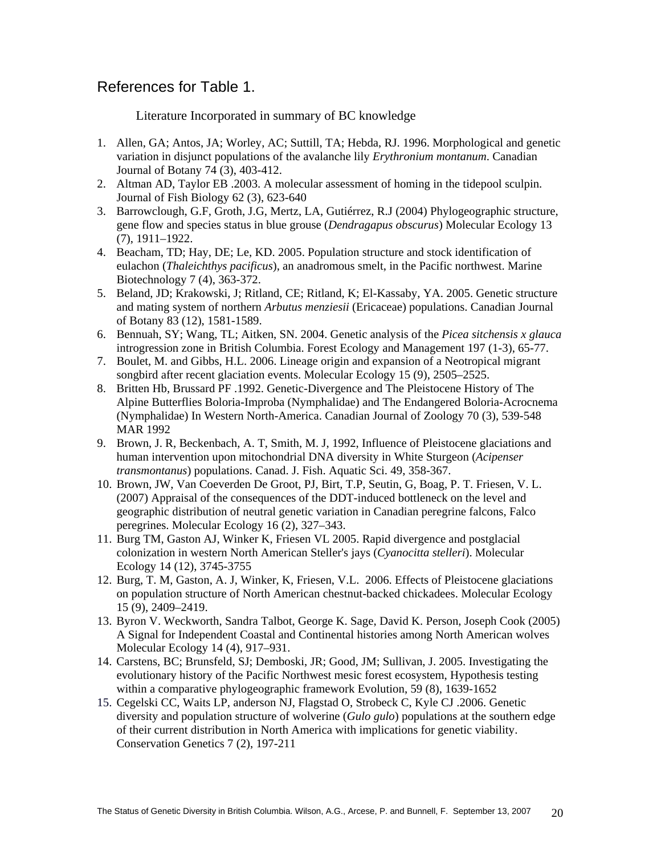# References for Table 1.

Literature Incorporated in summary of BC knowledge

- 1. Allen, GA; Antos, JA; Worley, AC; Suttill, TA; Hebda, RJ. 1996. Morphological and genetic variation in disjunct populations of the avalanche lily *Erythronium montanum*. Canadian Journal of Botany 74 (3), 403-412.
- 2. Altman AD, Taylor EB .2003. A molecular assessment of homing in the tidepool sculpin. Journal of Fish Biology 62 (3), 623-640
- 3. Barrowclough, G.F, Groth, J.G, Mertz, LA, Gutiérrez, R.J (2004) Phylogeographic structure, gene flow and species status in blue grouse (*Dendragapus obscurus*) Molecular Ecology 13 (7), 1911–1922.
- 4. Beacham, TD; Hay, DE; Le, KD. 2005. Population structure and stock identification of eulachon (*Thaleichthys pacificus*), an anadromous smelt, in the Pacific northwest. Marine Biotechnology 7 (4), 363-372.
- 5. Beland, JD; Krakowski, J; Ritland, CE; Ritland, K; El-Kassaby, YA. 2005. Genetic structure and mating system of northern *Arbutus menziesii* (Ericaceae) populations. Canadian Journal of Botany 83 (12), 1581-1589.
- 6. Bennuah, SY; Wang, TL; Aitken, SN. 2004. Genetic analysis of the *Picea sitchensis x glauca* introgression zone in British Columbia. Forest Ecology and Management 197 (1-3), 65-77.
- 7. Boulet, M. and Gibbs, H.L. 2006. Lineage origin and expansion of a Neotropical migrant songbird after recent glaciation events. Molecular Ecology 15 (9), 2505–2525.
- 8. Britten Hb, Brussard PF .1992. Genetic-Divergence and The Pleistocene History of The Alpine Butterflies Boloria-Improba (Nymphalidae) and The Endangered Boloria-Acrocnema (Nymphalidae) In Western North-America. Canadian Journal of Zoology 70 (3), 539-548 MAR 1992
- 9. Brown, J. R, Beckenbach, A. T, Smith, M. J, 1992, Influence of Pleistocene glaciations and human intervention upon mitochondrial DNA diversity in White Sturgeon (*Acipenser transmontanus*) populations. Canad. J. Fish. Aquatic Sci. 49, 358-367.
- 10. Brown, JW, Van Coeverden De Groot, PJ, Birt, T.P, Seutin, G, Boag, P. T. Friesen, V. L. (2007) Appraisal of the consequences of the DDT-induced bottleneck on the level and geographic distribution of neutral genetic variation in Canadian peregrine falcons, Falco peregrines. Molecular Ecology 16 (2), 327–343.
- 11. Burg TM, Gaston AJ, Winker K, Friesen VL 2005. Rapid divergence and postglacial colonization in western North American Steller's jays (*Cyanocitta stelleri*). Molecular Ecology 14 (12), 3745-3755
- 12. Burg, T. M, Gaston, A. J, Winker, K, Friesen, V.L. 2006. Effects of Pleistocene glaciations on population structure of North American chestnut-backed chickadees. Molecular Ecology 15 (9), 2409–2419.
- 13. Byron V. Weckworth, Sandra Talbot, George K. Sage, David K. Person, Joseph Cook (2005) A Signal for Independent Coastal and Continental histories among North American wolves Molecular Ecology 14 (4), 917–931.
- 14. Carstens, BC; Brunsfeld, SJ; Demboski, JR; Good, JM; Sullivan, J. 2005. Investigating the evolutionary history of the Pacific Northwest mesic forest ecosystem, Hypothesis testing within a comparative phylogeographic framework Evolution, 59 (8), 1639-1652
- 15. Cegelski CC, Waits LP, anderson NJ, Flagstad O, Strobeck C, Kyle CJ .2006. Genetic diversity and population structure of wolverine (*Gulo gulo*) populations at the southern edge of their current distribution in North America with implications for genetic viability. Conservation Genetics 7 (2), 197-211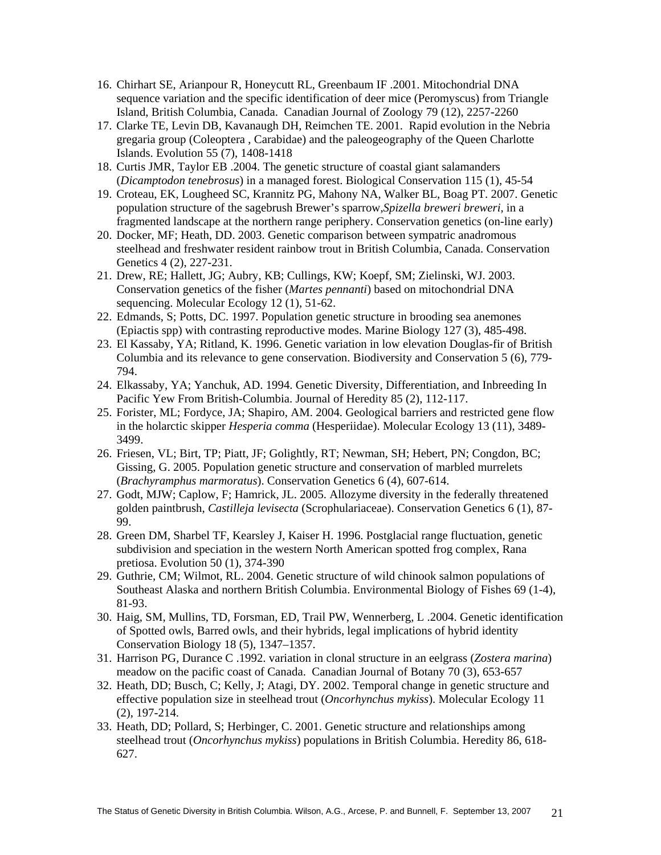- 16. Chirhart SE, Arianpour R, Honeycutt RL, Greenbaum IF .2001. Mitochondrial DNA sequence variation and the specific identification of deer mice (Peromyscus) from Triangle Island, British Columbia, Canada. Canadian Journal of Zoology 79 (12), 2257-2260
- 17. Clarke TE, Levin DB, Kavanaugh DH, Reimchen TE. 2001. Rapid evolution in the Nebria gregaria group (Coleoptera , Carabidae) and the paleogeography of the Queen Charlotte Islands. Evolution 55 (7), 1408-1418
- 18. Curtis JMR, Taylor EB .2004. The genetic structure of coastal giant salamanders (*Dicamptodon tenebrosus*) in a managed forest. Biological Conservation 115 (1), 45-54
- 19. Croteau, EK, Lougheed SC, Krannitz PG, Mahony NA, Walker BL, Boag PT. 2007. Genetic population structure of the sagebrush Brewer's sparrow,*Spizella breweri breweri*, in a fragmented landscape at the northern range periphery. Conservation genetics (on-line early)
- 20. Docker, MF; Heath, DD. 2003. Genetic comparison between sympatric anadromous steelhead and freshwater resident rainbow trout in British Columbia, Canada. Conservation Genetics 4 (2), 227-231.
- 21. Drew, RE; Hallett, JG; Aubry, KB; Cullings, KW; Koepf, SM; Zielinski, WJ. 2003. Conservation genetics of the fisher (*Martes pennanti*) based on mitochondrial DNA sequencing. Molecular Ecology 12 (1), 51-62.
- 22. Edmands, S; Potts, DC. 1997. Population genetic structure in brooding sea anemones (Epiactis spp) with contrasting reproductive modes. Marine Biology 127 (3), 485-498.
- 23. El Kassaby, YA; Ritland, K. 1996. Genetic variation in low elevation Douglas-fir of British Columbia and its relevance to gene conservation. Biodiversity and Conservation 5 (6), 779- 794.
- 24. Elkassaby, YA; Yanchuk, AD. 1994. Genetic Diversity, Differentiation, and Inbreeding In Pacific Yew From British-Columbia. Journal of Heredity 85 (2), 112-117.
- 25. Forister, ML; Fordyce, JA; Shapiro, AM. 2004. Geological barriers and restricted gene flow in the holarctic skipper *Hesperia comma* (Hesperiidae). Molecular Ecology 13 (11), 3489- 3499.
- 26. Friesen, VL; Birt, TP; Piatt, JF; Golightly, RT; Newman, SH; Hebert, PN; Congdon, BC; Gissing, G. 2005. Population genetic structure and conservation of marbled murrelets (*Brachyramphus marmoratus*). Conservation Genetics 6 (4), 607-614.
- 27. Godt, MJW; Caplow, F; Hamrick, JL. 2005. Allozyme diversity in the federally threatened golden paintbrush, *Castilleja levisecta* (Scrophulariaceae). Conservation Genetics 6 (1), 87- 99.
- 28. Green DM, Sharbel TF, Kearsley J, Kaiser H. 1996. Postglacial range fluctuation, genetic subdivision and speciation in the western North American spotted frog complex, Rana pretiosa. Evolution 50 (1), 374-390
- 29. Guthrie, CM; Wilmot, RL. 2004. Genetic structure of wild chinook salmon populations of Southeast Alaska and northern British Columbia. Environmental Biology of Fishes 69 (1-4), 81-93.
- 30. Haig, SM, Mullins, TD, Forsman, ED, Trail PW, Wennerberg, L .2004. Genetic identification of Spotted owls, Barred owls, and their hybrids, legal implications of hybrid identity Conservation Biology 18 (5), 1347–1357.
- 31. Harrison PG, Durance C .1992. variation in clonal structure in an eelgrass (*Zostera marina*) meadow on the pacific coast of Canada. Canadian Journal of Botany 70 (3), 653-657
- 32. Heath, DD; Busch, C; Kelly, J; Atagi, DY. 2002. Temporal change in genetic structure and effective population size in steelhead trout (*Oncorhynchus mykiss*). Molecular Ecology 11 (2), 197-214.
- 33. Heath, DD; Pollard, S; Herbinger, C. 2001. Genetic structure and relationships among steelhead trout (*Oncorhynchus mykiss*) populations in British Columbia. Heredity 86, 618- 627.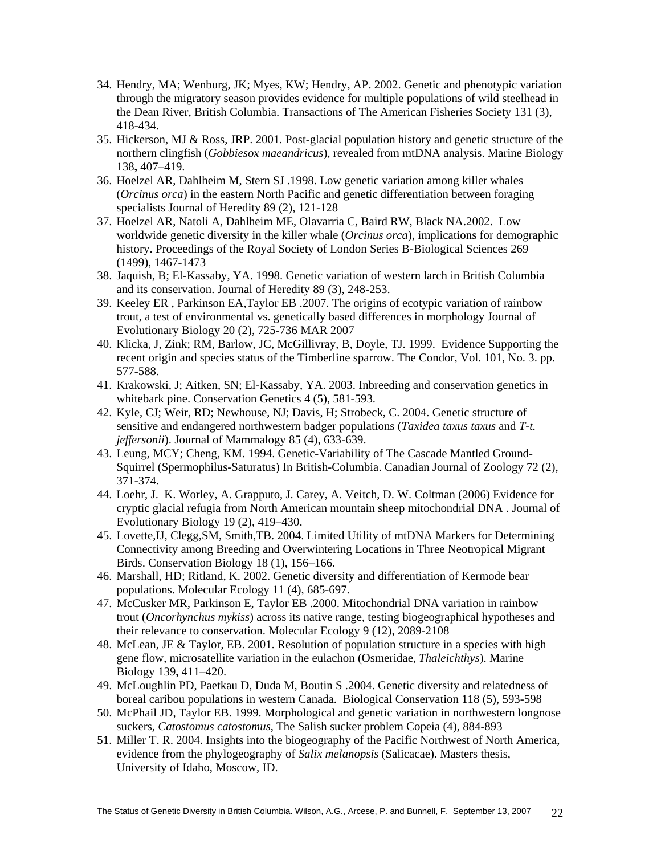- 34. Hendry, MA; Wenburg, JK; Myes, KW; Hendry, AP. 2002. Genetic and phenotypic variation through the migratory season provides evidence for multiple populations of wild steelhead in the Dean River, British Columbia. Transactions of The American Fisheries Society 131 (3), 418-434.
- 35. Hickerson, MJ & Ross, JRP. 2001. Post-glacial population history and genetic structure of the northern clingfish (*Gobbiesox maeandricus*), revealed from mtDNA analysis. Marine Biology 138**,** 407–419.
- 36. Hoelzel AR, Dahlheim M, Stern SJ .1998. Low genetic variation among killer whales (*Orcinus orca*) in the eastern North Pacific and genetic differentiation between foraging specialists Journal of Heredity 89 (2), 121-128
- 37. Hoelzel AR, Natoli A, Dahlheim ME, Olavarria C, Baird RW, Black NA.2002. Low worldwide genetic diversity in the killer whale (*Orcinus orca*), implications for demographic history. Proceedings of the Royal Society of London Series B-Biological Sciences 269 (1499), 1467-1473
- 38. Jaquish, B; El-Kassaby, YA. 1998. Genetic variation of western larch in British Columbia and its conservation. Journal of Heredity 89 (3), 248-253.
- 39. Keeley ER , Parkinson EA,Taylor EB .2007. The origins of ecotypic variation of rainbow trout, a test of environmental vs. genetically based differences in morphology Journal of Evolutionary Biology 20 (2), 725-736 MAR 2007
- 40. Klicka, J, Zink; RM, Barlow, JC, McGillivray, B, Doyle, TJ. 1999. Evidence Supporting the recent origin and species status of the Timberline sparrow. The Condor, Vol. 101, No. 3. pp. 577-588.
- 41. Krakowski, J; Aitken, SN; El-Kassaby, YA. 2003. Inbreeding and conservation genetics in whitebark pine. Conservation Genetics 4 (5), 581-593.
- 42. Kyle, CJ; Weir, RD; Newhouse, NJ; Davis, H; Strobeck, C. 2004. Genetic structure of sensitive and endangered northwestern badger populations (*Taxidea taxus taxus* and *T-t. jeffersonii*). Journal of Mammalogy 85 (4), 633-639.
- 43. Leung, MCY; Cheng, KM. 1994. Genetic-Variability of The Cascade Mantled Ground-Squirrel (Spermophilus-Saturatus) In British-Columbia. Canadian Journal of Zoology 72 (2), 371-374.
- 44. Loehr, J. K. Worley, A. Grapputo, J. Carey, A. Veitch, D. W. Coltman (2006) Evidence for cryptic glacial refugia from North American mountain sheep mitochondrial DNA . Journal of Evolutionary Biology 19 (2), 419–430.
- 45. Lovette,IJ, Clegg,SM, Smith,TB. 2004. Limited Utility of mtDNA Markers for Determining Connectivity among Breeding and Overwintering Locations in Three Neotropical Migrant Birds. Conservation Biology 18 (1), 156–166.
- 46. Marshall, HD; Ritland, K. 2002. Genetic diversity and differentiation of Kermode bear populations. Molecular Ecology 11 (4), 685-697.
- 47. McCusker MR, Parkinson E, Taylor EB .2000. Mitochondrial DNA variation in rainbow trout (*Oncorhynchus mykiss*) across its native range, testing biogeographical hypotheses and their relevance to conservation. Molecular Ecology 9 (12), 2089-2108
- 48. McLean, JE & Taylor, EB. 2001. Resolution of population structure in a species with high gene flow, microsatellite variation in the eulachon (Osmeridae, *Thaleichthys*). Marine Biology 139**,** 411–420.
- 49. McLoughlin PD, Paetkau D, Duda M, Boutin S .2004. Genetic diversity and relatedness of boreal caribou populations in western Canada. Biological Conservation 118 (5), 593-598
- 50. McPhail JD, Taylor EB. 1999. Morphological and genetic variation in northwestern longnose suckers, *Catostomus catostomus*, The Salish sucker problem Copeia (4), 884-893
- 51. Miller T. R. 2004. Insights into the biogeography of the Pacific Northwest of North America, evidence from the phylogeography of *Salix melanopsis* (Salicacae). Masters thesis, University of Idaho, Moscow, ID.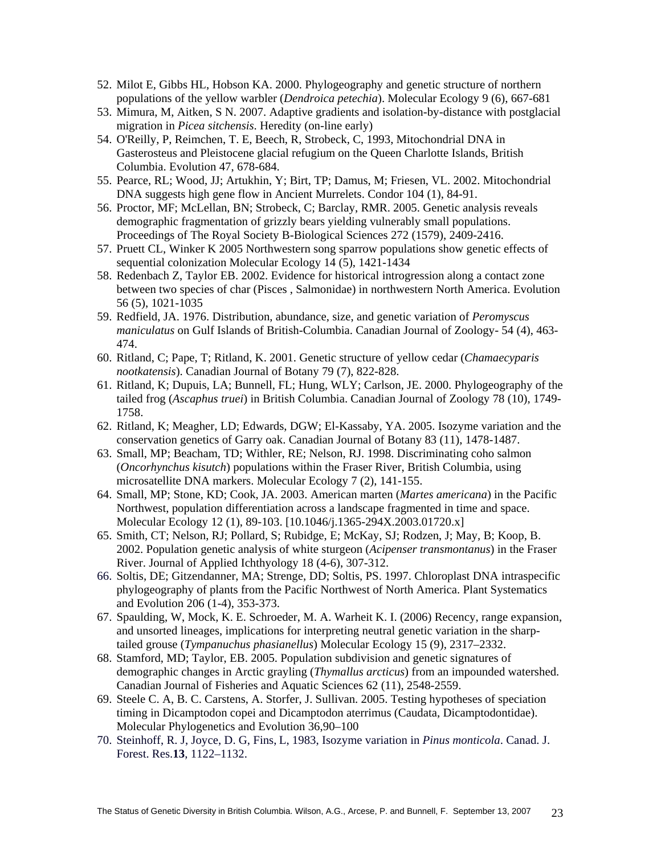- 52. Milot E, Gibbs HL, Hobson KA. 2000. Phylogeography and genetic structure of northern populations of the yellow warbler (*Dendroica petechia*). Molecular Ecology 9 (6), 667-681
- 53. Mimura, M, Aitken, S N. 2007. Adaptive gradients and isolation-by-distance with postglacial migration in *Picea sitchensis*. Heredity (on-line early)
- 54. O'Reilly, P, Reimchen, T. E, Beech, R, Strobeck, C, 1993, Mitochondrial DNA in Gasterosteus and Pleistocene glacial refugium on the Queen Charlotte Islands, British Columbia. Evolution 47, 678-684.
- 55. Pearce, RL; Wood, JJ; Artukhin, Y; Birt, TP; Damus, M; Friesen, VL. 2002. Mitochondrial DNA suggests high gene flow in Ancient Murrelets. Condor 104 (1), 84-91.
- 56. Proctor, MF; McLellan, BN; Strobeck, C; Barclay, RMR. 2005. Genetic analysis reveals demographic fragmentation of grizzly bears yielding vulnerably small populations. Proceedings of The Royal Society B-Biological Sciences 272 (1579), 2409-2416.
- 57. Pruett CL, Winker K 2005 Northwestern song sparrow populations show genetic effects of sequential colonization Molecular Ecology 14 (5), 1421-1434
- 58. Redenbach Z, Taylor EB. 2002. Evidence for historical introgression along a contact zone between two species of char (Pisces , Salmonidae) in northwestern North America. Evolution 56 (5), 1021-1035
- 59. Redfield, JA. 1976. Distribution, abundance, size, and genetic variation of *Peromyscus maniculatus* on Gulf Islands of British-Columbia. Canadian Journal of Zoology- 54 (4), 463- 474.
- 60. Ritland, C; Pape, T; Ritland, K. 2001. Genetic structure of yellow cedar (*Chamaecyparis nootkatensis*). Canadian Journal of Botany 79 (7), 822-828.
- 61. Ritland, K; Dupuis, LA; Bunnell, FL; Hung, WLY; Carlson, JE. 2000. Phylogeography of the tailed frog (*Ascaphus truei*) in British Columbia. Canadian Journal of Zoology 78 (10), 1749- 1758.
- 62. Ritland, K; Meagher, LD; Edwards, DGW; El-Kassaby, YA. 2005. Isozyme variation and the conservation genetics of Garry oak. Canadian Journal of Botany 83 (11), 1478-1487.
- 63. Small, MP; Beacham, TD; Withler, RE; Nelson, RJ. 1998. Discriminating coho salmon (*Oncorhynchus kisutch*) populations within the Fraser River, British Columbia, using microsatellite DNA markers. Molecular Ecology 7 (2), 141-155.
- 64. Small, MP; Stone, KD; Cook, JA. 2003. American marten (*Martes americana*) in the Pacific Northwest, population differentiation across a landscape fragmented in time and space. Molecular Ecology 12 (1), 89-103. [10.1046/j.1365-294X.2003.01720.x]
- 65. Smith, CT; Nelson, RJ; Pollard, S; Rubidge, E; McKay, SJ; Rodzen, J; May, B; Koop, B. 2002. Population genetic analysis of white sturgeon (*Acipenser transmontanus*) in the Fraser River. Journal of Applied Ichthyology 18 (4-6), 307-312.
- 66. Soltis, DE; Gitzendanner, MA; Strenge, DD; Soltis, PS. 1997. Chloroplast DNA intraspecific phylogeography of plants from the Pacific Northwest of North America. Plant Systematics and Evolution 206 (1-4), 353-373.
- 67. Spaulding, W, Mock, K. E. Schroeder, M. A. Warheit K. I. (2006) Recency, range expansion, and unsorted lineages, implications for interpreting neutral genetic variation in the sharptailed grouse (*Tympanuchus phasianellus*) Molecular Ecology 15 (9), 2317–2332.
- 68. Stamford, MD; Taylor, EB. 2005. Population subdivision and genetic signatures of demographic changes in Arctic grayling (*Thymallus arcticus*) from an impounded watershed. Canadian Journal of Fisheries and Aquatic Sciences 62 (11), 2548-2559.
- 69. Steele C. A, B. C. Carstens, A. Storfer, J. Sullivan. 2005. Testing hypotheses of speciation timing in Dicamptodon copei and Dicamptodon aterrimus (Caudata, Dicamptodontidae). Molecular Phylogenetics and Evolution 36,90–100
- 70. Steinhoff, R. J, Joyce, D. G, Fins, L, 1983, Isozyme variation in *Pinus monticola*. Canad. J. Forest. Res.**13**, 1122–1132.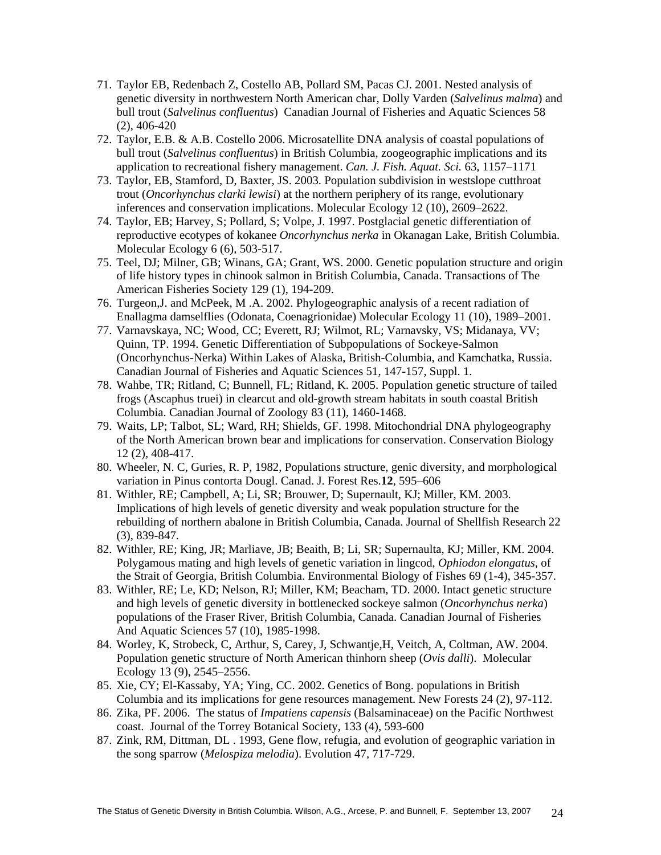- 71. Taylor EB, Redenbach Z, Costello AB, Pollard SM, Pacas CJ. 2001. Nested analysis of genetic diversity in northwestern North American char, Dolly Varden (*Salvelinus malma*) and bull trout (*Salvelinus confluentus*) Canadian Journal of Fisheries and Aquatic Sciences 58 (2), 406-420
- 72. Taylor, E.B. & A.B. Costello 2006. Microsatellite DNA analysis of coastal populations of bull trout (*Salvelinus confluentus*) in British Columbia, zoogeographic implications and its application to recreational fishery management. *Can. J. Fish. Aquat. Sci.* 63, 1157–1171
- 73. Taylor, EB, Stamford, D, Baxter, JS. 2003. Population subdivision in westslope cutthroat trout (*Oncorhynchus clarki lewisi*) at the northern periphery of its range, evolutionary inferences and conservation implications. Molecular Ecology 12 (10), 2609–2622.
- 74. Taylor, EB; Harvey, S; Pollard, S; Volpe, J. 1997. Postglacial genetic differentiation of reproductive ecotypes of kokanee *Oncorhynchus nerka* in Okanagan Lake, British Columbia. Molecular Ecology 6 (6), 503-517.
- 75. Teel, DJ; Milner, GB; Winans, GA; Grant, WS. 2000. Genetic population structure and origin of life history types in chinook salmon in British Columbia, Canada. Transactions of The American Fisheries Society 129 (1), 194-209.
- 76. Turgeon,J. and McPeek, M .A. 2002. Phylogeographic analysis of a recent radiation of Enallagma damselflies (Odonata, Coenagrionidae) Molecular Ecology 11 (10), 1989–2001.
- 77. Varnavskaya, NC; Wood, CC; Everett, RJ; Wilmot, RL; Varnavsky, VS; Midanaya, VV; Quinn, TP. 1994. Genetic Differentiation of Subpopulations of Sockeye-Salmon (Oncorhynchus-Nerka) Within Lakes of Alaska, British-Columbia, and Kamchatka, Russia. Canadian Journal of Fisheries and Aquatic Sciences 51, 147-157, Suppl. 1.
- 78. Wahbe, TR; Ritland, C; Bunnell, FL; Ritland, K. 2005. Population genetic structure of tailed frogs (Ascaphus truei) in clearcut and old-growth stream habitats in south coastal British Columbia. Canadian Journal of Zoology 83 (11), 1460-1468.
- 79. Waits, LP; Talbot, SL; Ward, RH; Shields, GF. 1998. Mitochondrial DNA phylogeography of the North American brown bear and implications for conservation. Conservation Biology 12 (2), 408-417.
- 80. Wheeler, N. C, Guries, R. P, 1982, Populations structure, genic diversity, and morphological variation in Pinus contorta Dougl. Canad. J. Forest Res.**12**, 595–606
- 81. Withler, RE; Campbell, A; Li, SR; Brouwer, D; Supernault, KJ; Miller, KM. 2003. Implications of high levels of genetic diversity and weak population structure for the rebuilding of northern abalone in British Columbia, Canada. Journal of Shellfish Research 22 (3), 839-847.
- 82. Withler, RE; King, JR; Marliave, JB; Beaith, B; Li, SR; Supernaulta, KJ; Miller, KM. 2004. Polygamous mating and high levels of genetic variation in lingcod, *Ophiodon elongatus*, of the Strait of Georgia, British Columbia. Environmental Biology of Fishes 69 (1-4), 345-357.
- 83. Withler, RE; Le, KD; Nelson, RJ; Miller, KM; Beacham, TD. 2000. Intact genetic structure and high levels of genetic diversity in bottlenecked sockeye salmon (*Oncorhynchus nerka*) populations of the Fraser River, British Columbia, Canada. Canadian Journal of Fisheries And Aquatic Sciences 57 (10), 1985-1998.
- 84. Worley, K, Strobeck, C, Arthur, S, Carey, J, Schwantje,H, Veitch, A, Coltman, AW. 2004. Population genetic structure of North American thinhorn sheep (*Ovis dalli*). Molecular Ecology 13 (9), 2545–2556.
- 85. Xie, CY; El-Kassaby, YA; Ying, CC. 2002. Genetics of Bong. populations in British Columbia and its implications for gene resources management. New Forests 24 (2), 97-112.
- 86. Zika, PF. 2006. The status of *Impatiens capensis* (Balsaminaceae) on the Pacific Northwest coast. Journal of the Torrey Botanical Society, 133 (4), 593-600
- 87. Zink, RM, Dittman, DL . 1993, Gene flow, refugia, and evolution of geographic variation in the song sparrow (*Melospiza melodia*). Evolution 47, 717-729.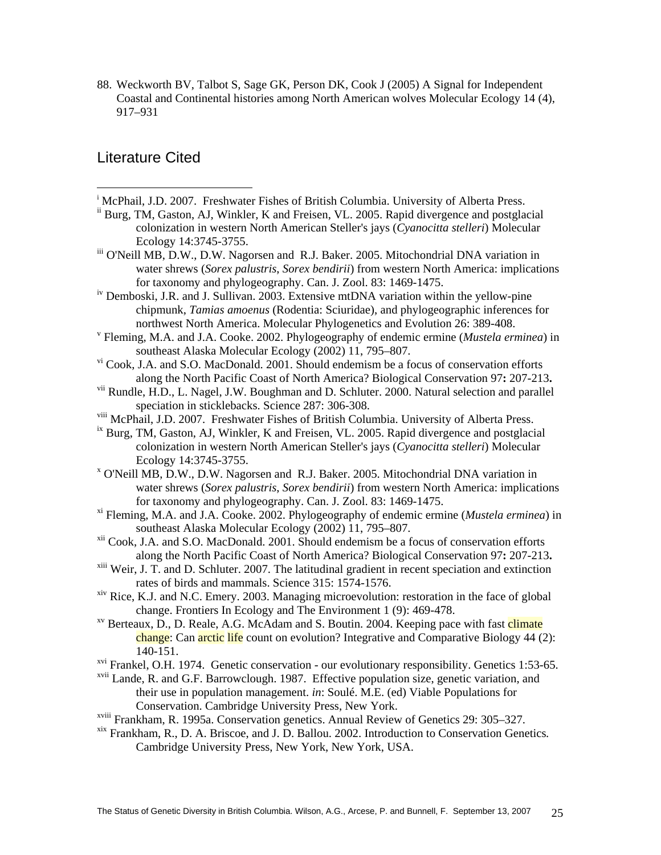88. Weckworth BV, Talbot S, Sage GK, Person DK, Cook J (2005) A Signal for Independent Coastal and Continental histories among North American wolves Molecular Ecology 14 (4), 917–931

# Literature Cited

 $\overline{a}$ 

- <sup>i</sup> McPhail, J.D. 2007. Freshwater Fishes of British Columbia. University of Alberta Press.
- <sup>ii</sup> Burg, TM, Gaston, AJ, Winkler, K and Freisen, VL. 2005. Rapid divergence and postglacial colonization in western North American Steller's jays (*Cyanocitta stelleri*) Molecular Ecology 14:3745-3755.
- iii O'Neill MB, D.W., D.W. Nagorsen and R.J. Baker. 2005. Mitochondrial DNA variation in water shrews (*Sorex palustris*, *Sorex bendirii*) from western North America: implications for taxonomy and phylogeography. Can. J. Zool. 83: 1469-1475.
- iv Demboski, J.R. and J. Sullivan. 2003. Extensive mtDNA variation within the yellow-pine chipmunk, *Tamias amoenus* (Rodentia: Sciuridae), and phylogeographic inferences for northwest North America. Molecular Phylogenetics and Evolution 26: 389-408.
- Fleming, M.A. and J.A. Cooke. 2002. Phylogeography of endemic ermine (*Mustela erminea*) in southeast Alaska Molecular Ecology (2002) 11, 795–807.
- vi Cook, J.A. and S.O. MacDonald. 2001. Should endemism be a focus of conservation efforts
- along the North Pacific Coast of North America? Biological Conservation 97**:** 207-213**.** vii Rundle, H.D., L. Nagel, J.W. Boughman and D. Schluter. 2000. Natural selection and parallel speciation in sticklebacks. Science 287: 306-308.
- viii McPhail, J.D. 2007. Freshwater Fishes of British Columbia. University of Alberta Press.
- $i<sup>x</sup>$  Burg, TM, Gaston, AJ, Winkler, K and Freisen, VL. 2005. Rapid divergence and postglacial colonization in western North American Steller's jays (*Cyanocitta stelleri*) Molecular Ecology 14:3745-3755.
- O'Neill MB, D.W., D.W. Nagorsen and R.J. Baker. 2005. Mitochondrial DNA variation in water shrews (*Sorex palustris*, *Sorex bendirii*) from western North America: implications for taxonomy and phylogeography. Can. J. Zool. 83: 1469-1475.
- xi Fleming, M.A. and J.A. Cooke. 2002. Phylogeography of endemic ermine (*Mustela erminea*) in southeast Alaska Molecular Ecology (2002) 11, 795–807.
- xii Cook, J.A. and S.O. MacDonald. 2001. Should endemism be a focus of conservation efforts along the North Pacific Coast of North America? Biological Conservation 97: 207-213.<br><sup>xiii</sup> Weir, J. T. and D. Schluter. 2007. The latitudinal gradient in recent speciation and extinction
- rates of birds and mammals. Science 315: 1574-1576.
- <sup>xiv</sup> Rice, K.J. and N.C. Emery. 2003. Managing microevolution: restoration in the face of global change. Frontiers In Ecology and The Environment 1 (9): 469-478.<br><sup>xv</sup> Berteaux, D., D. Reale, A.G. McAdam and S. Boutin. 2004. Keeping pace with fast climate
- change: Can arctic life count on evolution? Integrative and Comparative Biology 44 (2): 140-151.
- <sup>xvi</sup> Frankel, O.H. 1974. Genetic conservation our evolutionary responsibility. Genetics 1:53-65.
- xvii Lande, R. and G.F. Barrowclough. 1987. Effective population size, genetic variation, and their use in population management. *in*: Soulé. M.E. (ed) Viable Populations for Conservation. Cambridge University Press, New York.
- xviii Frankham, R. 1995a. Conservation genetics. Annual Review of Genetics 29: 305–327.
- xix Frankham, R., D. A. Briscoe, and J. D. Ballou. 2002. Introduction to Conservation Genetics*.* Cambridge University Press, New York, New York, USA.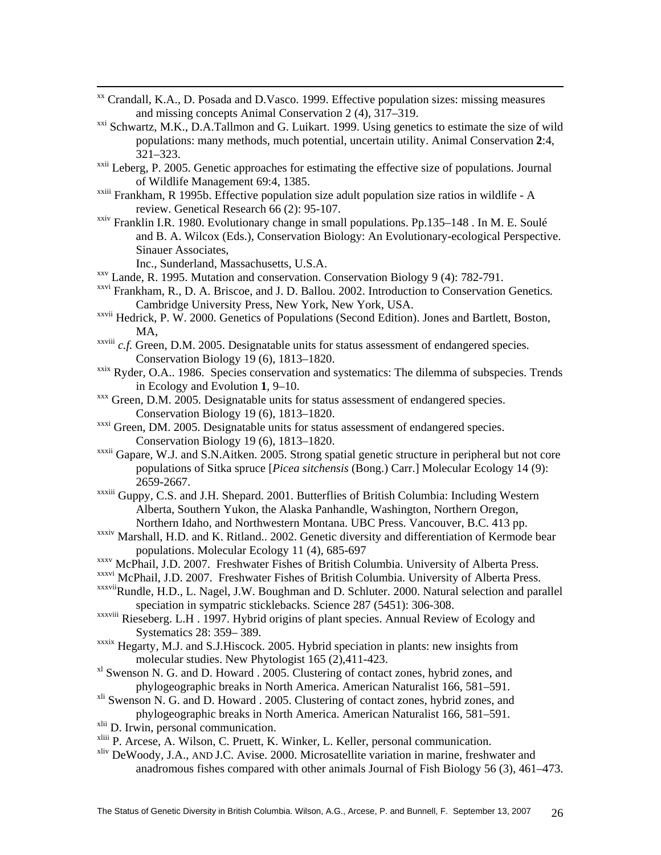- xx Crandall, K.A., D. Posada and D.Vasco. 1999. Effective population sizes: missing measures and missing concepts Animal Conservation 2 (4), 317–319.
- <sup>xxi</sup> Schwartz, M.K., D.A.Tallmon and G. Luikart. 1999. Using genetics to estimate the size of wild populations: many methods, much potential, uncertain utility. Animal Conservation **2**:4, 321–323.
- $xxi$ <sup>xxii</sup> Leberg, P. 2005. Genetic approaches for estimating the effective size of populations. Journal of Wildlife Management 69:4, 1385.
- xxiii Frankham, R 1995b. Effective population size adult population size ratios in wildlife A review. Genetical Research 66 (2): 95-107.
- xxiv Franklin I.R. 1980. Evolutionary change in small populations. Pp.135–148 . In M. E. Soulé and B. A. Wilcox (Eds.), Conservation Biology: An Evolutionary-ecological Perspective. Sinauer Associates,

- Inc., Sunderland, Massachusetts, U.S.A.<br><sup>xxv</sup> Lande, R. 1995. Mutation and conservation. Conservation Biology 9 (4): 782-791.
- xxvi Frankham, R., D. A. Briscoe, and J. D. Ballou. 2002. Introduction to Conservation Genetics*.* Cambridge University Press, New York, New York, USA.
- xxvii Hedrick, P. W. 2000. Genetics of Populations (Second Edition). Jones and Bartlett, Boston, MA,
- xxviii *c.f.* Green, D.M. 2005. Designatable units for status assessment of endangered species. Conservation Biology 19 (6), 1813–1820.
- $x$ <sup>xxix</sup> Ryder, O.A.. 1986. Species conservation and systematics: The dilemma of subspecies. Trends in Ecology and Evolution **1**, 9–10.<br><sup>xxx</sup> Green, D.M. 2005. Designatable units for status assessment of endangered species.
- Conservation Biology 19 (6), 1813–1820.
- xxxi Green, DM. 2005. Designatable units for status assessment of endangered species. Conservation Biology 19 (6), 1813–1820.
- xxxii Gapare, W.J. and S.N.Aitken. 2005. Strong spatial genetic structure in peripheral but not core populations of Sitka spruce [*Picea sitchensis* (Bong.) Carr.] Molecular Ecology 14 (9): 2659-2667.
- xxxiii Guppy, C.S. and J.H. Shepard. 2001. Butterflies of British Columbia: Including Western Alberta, Southern Yukon, the Alaska Panhandle, Washington, Northern Oregon, Northern Idaho, and Northwestern Montana. UBC Press. Vancouver, B.C. 413 pp.
- xxxiv Marshall, H.D. and K. Ritland.. 2002. Genetic diversity and differentiation of Kermode bear populations. Molecular Ecology 11 (4), 685-697 xxxv McPhail, J.D. 2007. Freshwater Fishes of British Columbia. University of Alberta Press.
- 
- xxxvi McPhail, J.D. 2007. Freshwater Fishes of British Columbia. University of Alberta Press.
- xxxviiRundle, H.D., L. Nagel, J.W. Boughman and D. Schluter. 2000. Natural selection and parallel speciation in sympatric sticklebacks. Science 287 (5451): 306-308.
- xxxviii Rieseberg. L.H . 1997. Hybrid origins of plant species. Annual Review of Ecology and Systematics 28: 359– 389.
- xxxix Hegarty, M.J. and S.J.Hiscock. 2005. Hybrid speciation in plants: new insights from molecular studies. New Phytologist 165 (2),411-423.
- <sup>xl</sup> Swenson N. G. and D. Howard . 2005. Clustering of contact zones, hybrid zones, and phylogeographic breaks in North America. American Naturalist 166, 581–591.
- xli Swenson N. G. and D. Howard . 2005. Clustering of contact zones, hybrid zones, and phylogeographic breaks in North America. American Naturalist 166, 581–591.
- xlii D. Irwin, personal communication.
- xliii P. Arcese, A. Wilson, C. Pruett, K. Winker, L. Keller, personal communication.
- xliv DeWoody, J.A., AND J.C. Avise. 2000. Microsatellite variation in marine, freshwater and anadromous fishes compared with other animals Journal of Fish Biology 56 (3), 461–473.